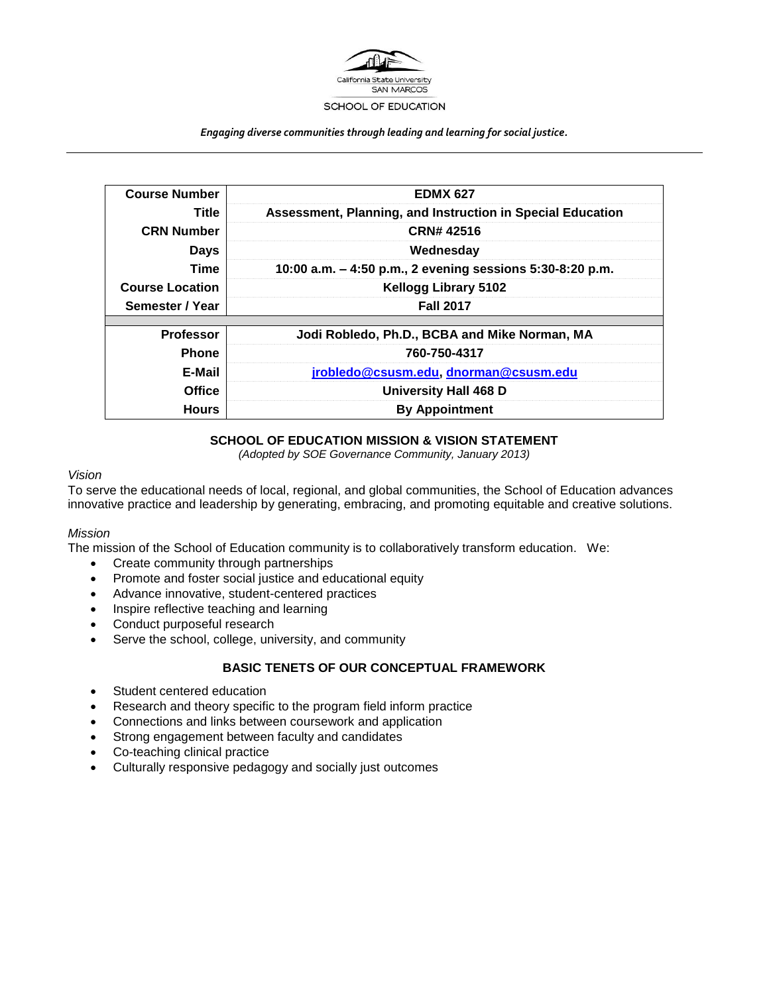

*Engaging diverse communities through leading and learning for social justice.*

| <b>Course Number</b>   | <b>EDMX 627</b>                                            |
|------------------------|------------------------------------------------------------|
| Title                  | Assessment, Planning, and Instruction in Special Education |
| <b>CRN Number</b>      | CRN# 42516                                                 |
| <b>Days</b>            | Wednesday                                                  |
| Time                   | 10:00 a.m. - 4:50 p.m., 2 evening sessions 5:30-8:20 p.m.  |
| <b>Course Location</b> | <b>Kellogg Library 5102</b>                                |
| Semester / Year        | <b>Fall 2017</b>                                           |
|                        |                                                            |
| <b>Professor</b>       | Jodi Robledo, Ph.D., BCBA and Mike Norman, MA              |
| <b>Phone</b>           | 760-750-4317                                               |
| E-Mail                 | jrobledo@csusm.edu, dnorman@csusm.edu                      |
| <b>Office</b>          | University Hall 468 D                                      |
| <b>Hours</b>           | <b>By Appointment</b>                                      |

## **SCHOOL OF EDUCATION MISSION & VISION STATEMENT**

*(Adopted by SOE Governance Community, January 2013)*

## *Vision*

To serve the educational needs of local, regional, and global communities, the School of Education advances innovative practice and leadership by generating, embracing, and promoting equitable and creative solutions.

## *Mission*

The mission of the School of Education community is to collaboratively transform education. We:

- Create community through partnerships
- Promote and foster social justice and educational equity
- Advance innovative, student-centered practices
- Inspire reflective teaching and learning
- Conduct purposeful research
- Serve the school, college, university, and community

# **BASIC TENETS OF OUR CONCEPTUAL FRAMEWORK**

- Student centered education
- Research and theory specific to the program field inform practice
- Connections and links between coursework and application
- Strong engagement between faculty and candidates
- Co-teaching clinical practice
- Culturally responsive pedagogy and socially just outcomes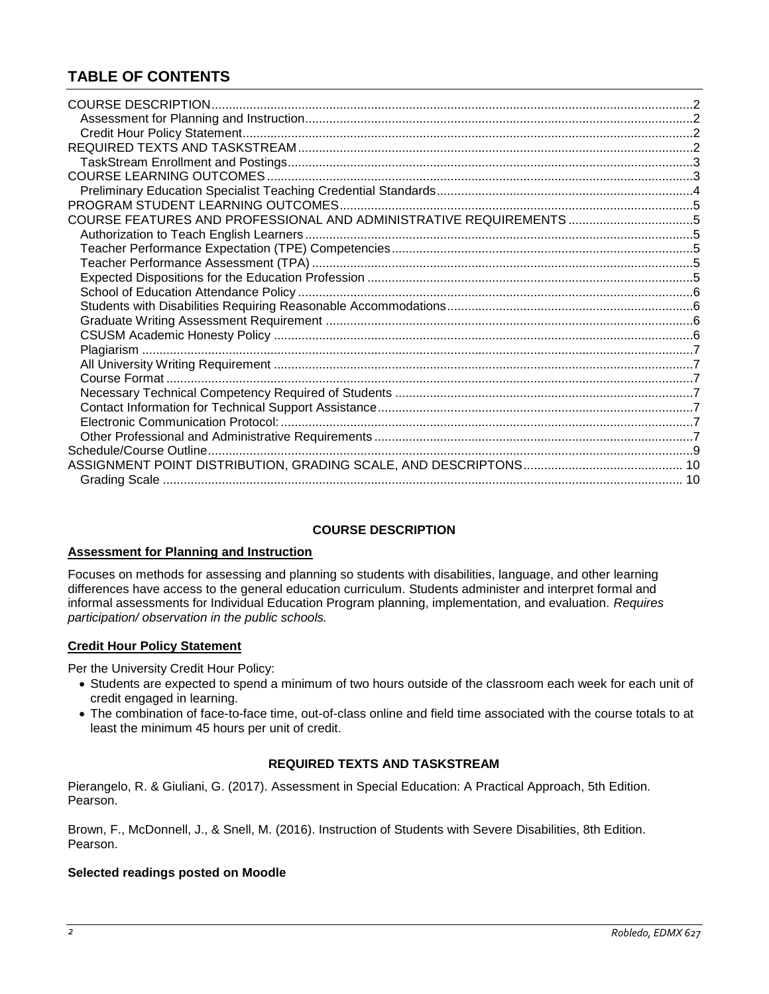# **TABLE OF CONTENTS**

| COURSE FEATURES AND PROFESSIONAL AND ADMINISTRATIVE REQUIREMENTS 5 |  |
|--------------------------------------------------------------------|--|
|                                                                    |  |
|                                                                    |  |
|                                                                    |  |
|                                                                    |  |
|                                                                    |  |
|                                                                    |  |
|                                                                    |  |
|                                                                    |  |
|                                                                    |  |
|                                                                    |  |
|                                                                    |  |
|                                                                    |  |
|                                                                    |  |
|                                                                    |  |
|                                                                    |  |
|                                                                    |  |
|                                                                    |  |
|                                                                    |  |
|                                                                    |  |

## **COURSE DESCRIPTION**

# <span id="page-1-1"></span><span id="page-1-0"></span>**Assessment for Planning and Instruction**

Focuses on methods for assessing and planning so students with disabilities, language, and other learning differences have access to the general education curriculum. Students administer and interpret formal and informal assessments for Individual Education Program planning, implementation, and evaluation. *Requires participation/ observation in the public schools.*

# <span id="page-1-2"></span>**Credit Hour Policy Statement**

Per the University Credit Hour Policy:

- Students are expected to spend a minimum of two hours outside of the classroom each week for each unit of credit engaged in learning.
- The combination of face-to-face time, out-of-class online and field time associated with the course totals to at least the minimum 45 hours per unit of credit.

# **REQUIRED TEXTS AND TASKSTREAM**

<span id="page-1-3"></span>Pierangelo, R. & Giuliani, G. (2017). Assessment in Special Education: A Practical Approach, 5th Edition. Pearson.

Brown, F., McDonnell, J., & Snell, M. (2016). Instruction of Students with Severe Disabilities, 8th Edition. Pearson.

# **Selected readings posted on Moodle**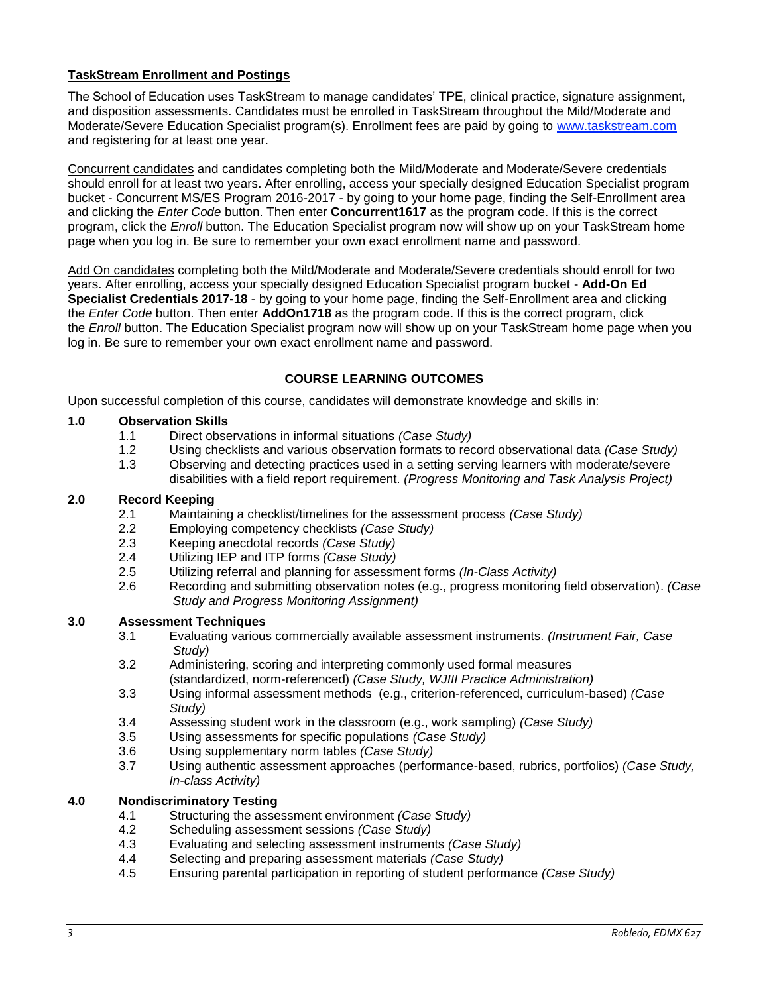# <span id="page-2-0"></span>**TaskStream Enrollment and Postings**

The School of Education uses TaskStream to manage candidates' TPE, clinical practice, signature assignment, and disposition assessments. Candidates must be enrolled in TaskStream throughout the Mild/Moderate and Moderate/Severe Education Specialist program(s). Enrollment fees are paid by going to [www.taskstream.com](http://www.taskstrem.com/) and registering for at least one year.

Concurrent candidates and candidates completing both the Mild/Moderate and Moderate/Severe credentials should enroll for at least two years. After enrolling, access your specially designed Education Specialist program bucket - Concurrent MS/ES Program 2016-2017 - by going to your home page, finding the Self-Enrollment area and clicking the *Enter Code* button. Then enter **Concurrent1617** as the program code. If this is the correct program, click the *Enroll* button. The Education Specialist program now will show up on your TaskStream home page when you log in. Be sure to remember your own exact enrollment name and password.

Add On candidates completing both the Mild/Moderate and Moderate/Severe credentials should enroll for two years. After enrolling, access your specially designed Education Specialist program bucket - **Add-On Ed Specialist Credentials 2017-18** - by going to your home page, finding the Self-Enrollment area and clicking the *Enter Code* button. Then enter **AddOn1718** as the program code. If this is the correct program, click the *Enroll* button. The Education Specialist program now will show up on your TaskStream home page when you log in. Be sure to remember your own exact enrollment name and password.

# **COURSE LEARNING OUTCOMES**

<span id="page-2-1"></span>Upon successful completion of this course, candidates will demonstrate knowledge and skills in:

## **1.0 Observation Skills**

- 1.1 Direct observations in informal situations *(Case Study)*
- 1.2 Using checklists and various observation formats to record observational data *(Case Study)*
- 1.3 Observing and detecting practices used in a setting serving learners with moderate/severe disabilities with a field report requirement. *(Progress Monitoring and Task Analysis Project)*

## **2.0 Record Keeping**

- 2.1 Maintaining a checklist/timelines for the assessment process *(Case Study)*
- 2.2 Employing competency checklists *(Case Study)*
- 2.3 Keeping anecdotal records *(Case Study)*
- 2.4 Utilizing IEP and ITP forms *(Case Study)*
- 2.5 Utilizing referral and planning for assessment forms *(In-Class Activity)*
- 2.6 Recording and submitting observation notes (e.g., progress monitoring field observation). *(Case Study and Progress Monitoring Assignment)*

## **3.0 Assessment Techniques**

- 3.1 Evaluating various commercially available assessment instruments. *(Instrument Fair, Case Study)*
- 3.2 Administering, scoring and interpreting commonly used formal measures (standardized, norm-referenced) *(Case Study, WJIII Practice Administration)*
- 3.3 Using informal assessment methods (e.g., criterion-referenced, curriculum-based) *(Case Study)*
- 3.4 Assessing student work in the classroom (e.g., work sampling) *(Case Study)*
- 3.5 Using assessments for specific populations *(Case Study)*
- 3.6 Using supplementary norm tables *(Case Study)*
- 3.7 Using authentic assessment approaches (performance-based, rubrics, portfolios) *(Case Study, In-class Activity)*

## **4.0 Nondiscriminatory Testing**

- 4.1 Structuring the assessment environment *(Case Study)*
- 4.2 Scheduling assessment sessions *(Case Study)*
- 4.3 Evaluating and selecting assessment instruments *(Case Study)*
- 4.4 Selecting and preparing assessment materials *(Case Study)*
- 4.5 Ensuring parental participation in reporting of student performance *(Case Study)*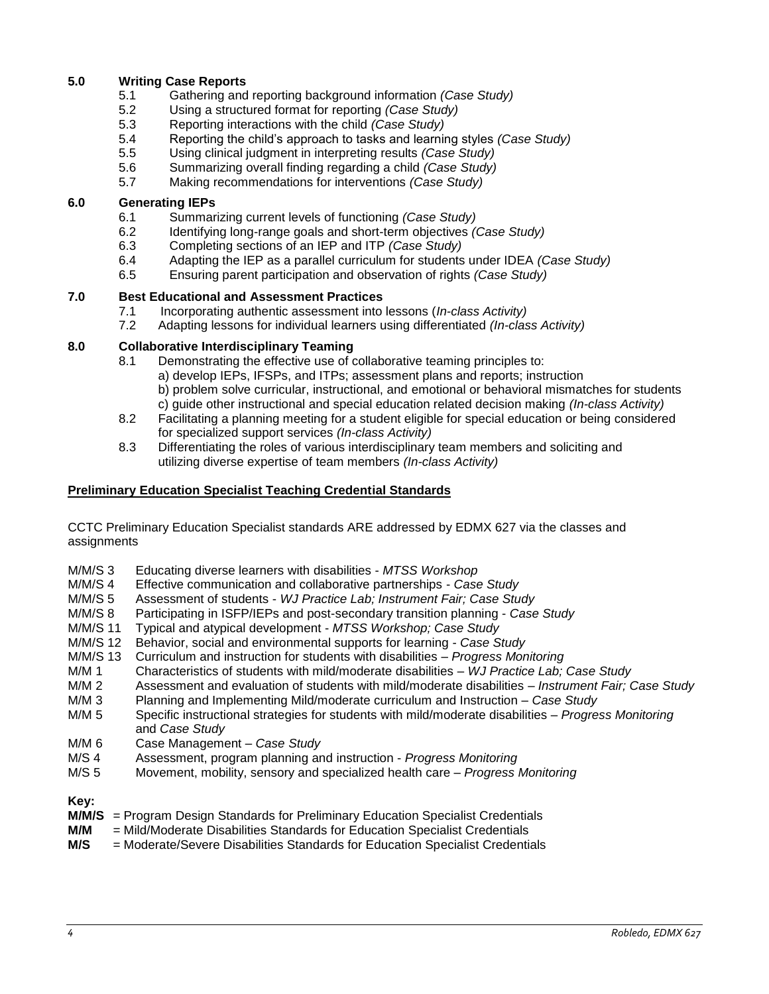# **5.0 Writing Case Reports**

- 5.1 Gathering and reporting background information *(Case Study)*
- 5.2 Using a structured format for reporting *(Case Study)*
- 5.3 Reporting interactions with the child *(Case Study)*
- 5.4 Reporting the child's approach to tasks and learning styles *(Case Study)*
- 5.5 Using clinical judgment in interpreting results *(Case Study)*
- 5.6 Summarizing overall finding regarding a child *(Case Study)*
- 5.7 Making recommendations for interventions *(Case Study)*

# **6.0 Generating IEPs**

- 6.1 Summarizing current levels of functioning *(Case Study)*
- 6.2 Identifying long-range goals and short-term objectives *(Case Study)*
- 6.3 Completing sections of an IEP and ITP *(Case Study)*
- 6.4 Adapting the IEP as a parallel curriculum for students under IDEA *(Case Study)*
- 6.5 Ensuring parent participation and observation of rights *(Case Study)*

# **7.0 Best Educational and Assessment Practices**

- 7.1 Incorporating authentic assessment into lessons (*In-class Activity)*
- 7.2 Adapting lessons for individual learners using differentiated *(In-class Activity)*

# **8.0 Collaborative Interdisciplinary Teaming**

- 8.1 Demonstrating the effective use of collaborative teaming principles to: a) develop IEPs, IFSPs, and ITPs; assessment plans and reports; instruction b) problem solve curricular, instructional, and emotional or behavioral mismatches for students c) guide other instructional and special education related decision making *(In-class Activity)*
- 8.2 Facilitating a planning meeting for a student eligible for special education or being considered for specialized support services *(In-class Activity)*
- 8.3 Differentiating the roles of various interdisciplinary team members and soliciting and utilizing diverse expertise of team members *(In-class Activity)*

# <span id="page-3-0"></span>**Preliminary Education Specialist Teaching Credential Standards**

CCTC Preliminary Education Specialist standards ARE addressed by EDMX 627 via the classes and assignments

- M/M/S 3 Educating diverse learners with disabilities *MTSS Workshop*
- M/M/S 4 Effective communication and collaborative partnerships *Case Study*
- M/M/S 5 Assessment of students *WJ Practice Lab; Instrument Fair; Case Study*
- M/M/S 8 Participating in ISFP/IEPs and post-secondary transition planning *Case Study*
- M/M/S 11 Typical and atypical development *MTSS Workshop; Case Study*
- Behavior, social and environmental supports for learning Case Study
- M/M/S 13 Curriculum and instruction for students with disabilities *Progress Monitoring*
- M/M 1 Characteristics of students with mild/moderate disabilities *WJ Practice Lab; Case Study*
- M/M 2 Assessment and evaluation of students with mild/moderate disabilities *Instrument Fair; Case Study*
- M/M 3 Planning and Implementing Mild/moderate curriculum and Instruction *Case Study*
- M/M 5 Specific instructional strategies for students with mild/moderate disabilities *Progress Monitoring* and *Case Study*
- M/M 6 Case Management *Case Study*
- M/S 4 Assessment, program planning and instruction *Progress Monitoring*
- M/S 5 Movement, mobility, sensory and specialized health care *Progress Monitoring*

**Key:**

- **M/M/S** = Program Design Standards for Preliminary Education Specialist Credentials
- **M/M** = Mild/Moderate Disabilities Standards for Education Specialist Credentials
- **M/S** = Moderate/Severe Disabilities Standards for Education Specialist Credentials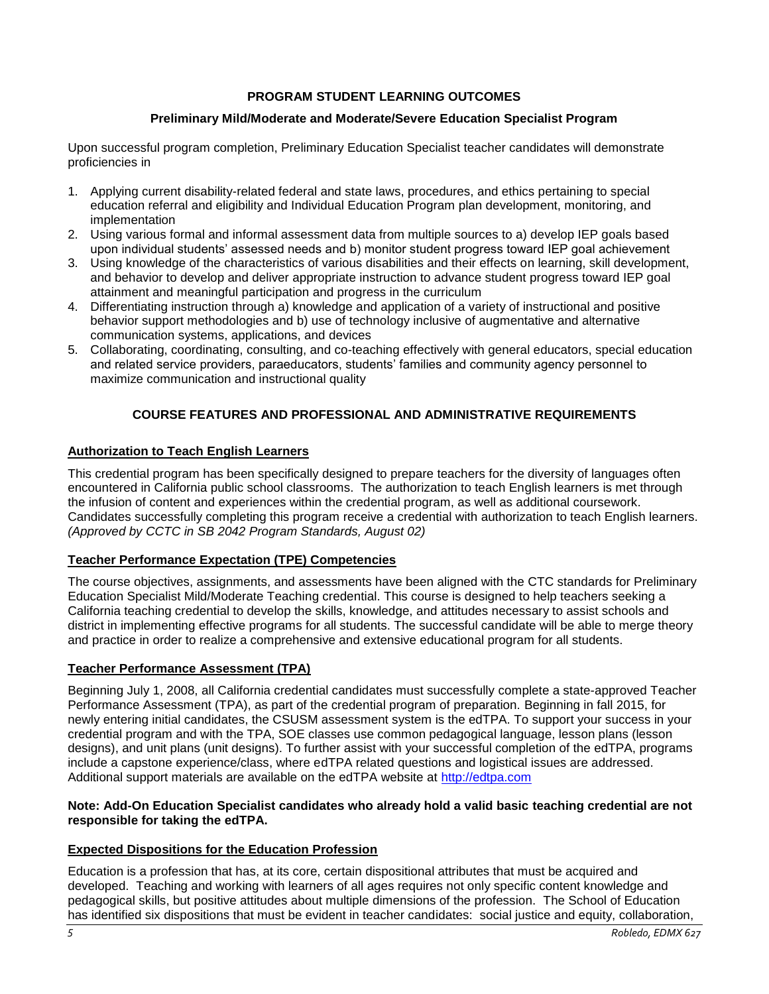# **PROGRAM STUDENT LEARNING OUTCOMES**

# **Preliminary Mild/Moderate and Moderate/Severe Education Specialist Program**

<span id="page-4-0"></span>Upon successful program completion, Preliminary Education Specialist teacher candidates will demonstrate proficiencies in

- 1. Applying current disability-related federal and state laws, procedures, and ethics pertaining to special education referral and eligibility and Individual Education Program plan development, monitoring, and implementation
- 2. Using various formal and informal assessment data from multiple sources to a) develop IEP goals based upon individual students' assessed needs and b) monitor student progress toward IEP goal achievement
- 3. Using knowledge of the characteristics of various disabilities and their effects on learning, skill development, and behavior to develop and deliver appropriate instruction to advance student progress toward IEP goal attainment and meaningful participation and progress in the curriculum
- 4. Differentiating instruction through a) knowledge and application of a variety of instructional and positive behavior support methodologies and b) use of technology inclusive of augmentative and alternative communication systems, applications, and devices
- 5. Collaborating, coordinating, consulting, and co-teaching effectively with general educators, special education and related service providers, paraeducators, students' families and community agency personnel to maximize communication and instructional quality

# **COURSE FEATURES AND PROFESSIONAL AND ADMINISTRATIVE REQUIREMENTS**

## <span id="page-4-2"></span><span id="page-4-1"></span>**Authorization to Teach English Learners**

This credential program has been specifically designed to prepare teachers for the diversity of languages often encountered in California public school classrooms. The authorization to teach English learners is met through the infusion of content and experiences within the credential program, as well as additional coursework. Candidates successfully completing this program receive a credential with authorization to teach English learners. *(Approved by CCTC in SB 2042 Program Standards, August 02)*

## <span id="page-4-3"></span>**Teacher Performance Expectation (TPE) Competencies**

The course objectives, assignments, and assessments have been aligned with the CTC standards for Preliminary Education Specialist Mild/Moderate Teaching credential. This course is designed to help teachers seeking a California teaching credential to develop the skills, knowledge, and attitudes necessary to assist schools and district in implementing effective programs for all students. The successful candidate will be able to merge theory and practice in order to realize a comprehensive and extensive educational program for all students.

## <span id="page-4-4"></span>**Teacher Performance Assessment (TPA)**

Beginning July 1, 2008, all California credential candidates must successfully complete a state-approved Teacher Performance Assessment (TPA), as part of the credential program of preparation. Beginning in fall 2015, for newly entering initial candidates, the CSUSM assessment system is the edTPA. To support your success in your credential program and with the TPA, SOE classes use common pedagogical language, lesson plans (lesson designs), and unit plans (unit designs). To further assist with your successful completion of the edTPA, programs include a capstone experience/class, where edTPA related questions and logistical issues are addressed. Additional support materials are available on the edTPA website at [http://edtpa.com](http://edtpa.com/)

## **Note: Add-On Education Specialist candidates who already hold a valid basic teaching credential are not responsible for taking the edTPA.**

## <span id="page-4-5"></span>**Expected Dispositions for the Education Profession**

Education is a profession that has, at its core, certain dispositional attributes that must be acquired and developed. Teaching and working with learners of all ages requires not only specific content knowledge and pedagogical skills, but positive attitudes about multiple dimensions of the profession. The School of Education has identified six dispositions that must be evident in teacher candidates: social justice and equity, collaboration,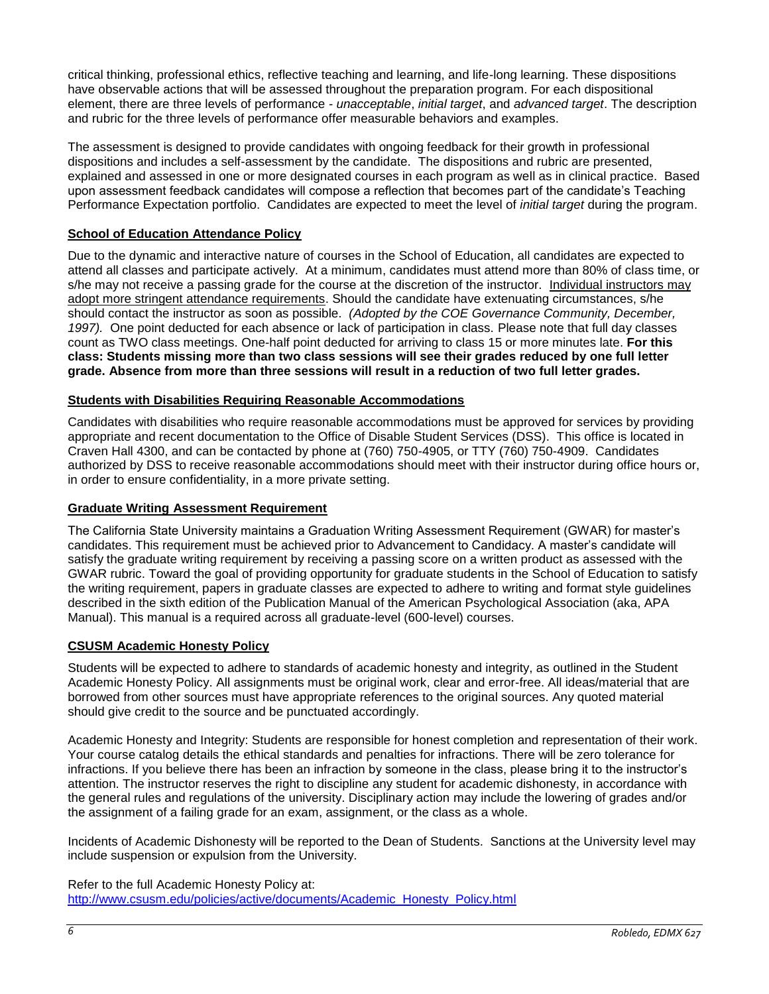critical thinking, professional ethics, reflective teaching and learning, and life-long learning. These dispositions have observable actions that will be assessed throughout the preparation program. For each dispositional element, there are three levels of performance - *unacceptable*, *initial target*, and *advanced target*. The description and rubric for the three levels of performance offer measurable behaviors and examples.

The assessment is designed to provide candidates with ongoing feedback for their growth in professional dispositions and includes a self-assessment by the candidate. The dispositions and rubric are presented, explained and assessed in one or more designated courses in each program as well as in clinical practice. Based upon assessment feedback candidates will compose a reflection that becomes part of the candidate's Teaching Performance Expectation portfolio. Candidates are expected to meet the level of *initial target* during the program.

# <span id="page-5-0"></span>**School of Education Attendance Policy**

Due to the dynamic and interactive nature of courses in the School of Education, all candidates are expected to attend all classes and participate actively. At a minimum, candidates must attend more than 80% of class time, or s/he may not receive a passing grade for the course at the discretion of the instructor. Individual instructors may adopt more stringent attendance requirements. Should the candidate have extenuating circumstances, s/he should contact the instructor as soon as possible. *(Adopted by the COE Governance Community, December, 1997).* One point deducted for each absence or lack of participation in class. Please note that full day classes count as TWO class meetings. One-half point deducted for arriving to class 15 or more minutes late. **For this class: Students missing more than two class sessions will see their grades reduced by one full letter grade. Absence from more than three sessions will result in a reduction of two full letter grades.** 

# <span id="page-5-1"></span>**Students with Disabilities Requiring Reasonable Accommodations**

Candidates with disabilities who require reasonable accommodations must be approved for services by providing appropriate and recent documentation to the Office of Disable Student Services (DSS). This office is located in Craven Hall 4300, and can be contacted by phone at (760) 750-4905, or TTY (760) 750-4909. Candidates authorized by DSS to receive reasonable accommodations should meet with their instructor during office hours or, in order to ensure confidentiality, in a more private setting.

# <span id="page-5-2"></span>**Graduate Writing Assessment Requirement**

The California State University maintains a Graduation Writing Assessment Requirement (GWAR) for master's candidates. This requirement must be achieved prior to Advancement to Candidacy. A master's candidate will satisfy the graduate writing requirement by receiving a passing score on a written product as assessed with the GWAR rubric. Toward the goal of providing opportunity for graduate students in the School of Education to satisfy the writing requirement, papers in graduate classes are expected to adhere to writing and format style guidelines described in the sixth edition of the Publication Manual of the American Psychological Association (aka, APA Manual). This manual is a required across all graduate-level (600-level) courses.

# <span id="page-5-3"></span>**CSUSM Academic Honesty Policy**

Students will be expected to adhere to standards of academic honesty and integrity, as outlined in the Student Academic Honesty Policy. All assignments must be original work, clear and error-free. All ideas/material that are borrowed from other sources must have appropriate references to the original sources. Any quoted material should give credit to the source and be punctuated accordingly.

Academic Honesty and Integrity: Students are responsible for honest completion and representation of their work. Your course catalog details the ethical standards and penalties for infractions. There will be zero tolerance for infractions. If you believe there has been an infraction by someone in the class, please bring it to the instructor's attention. The instructor reserves the right to discipline any student for academic dishonesty, in accordance with the general rules and regulations of the university. Disciplinary action may include the lowering of grades and/or the assignment of a failing grade for an exam, assignment, or the class as a whole.

Incidents of Academic Dishonesty will be reported to the Dean of Students. Sanctions at the University level may include suspension or expulsion from the University.

Refer to the full Academic Honesty Policy at: [http://www.csusm.edu/policies/active/documents/Academic\\_Honesty\\_Policy.html](http://www.csusm.edu/policies/active/documents/Academic_Honesty_Policy.html)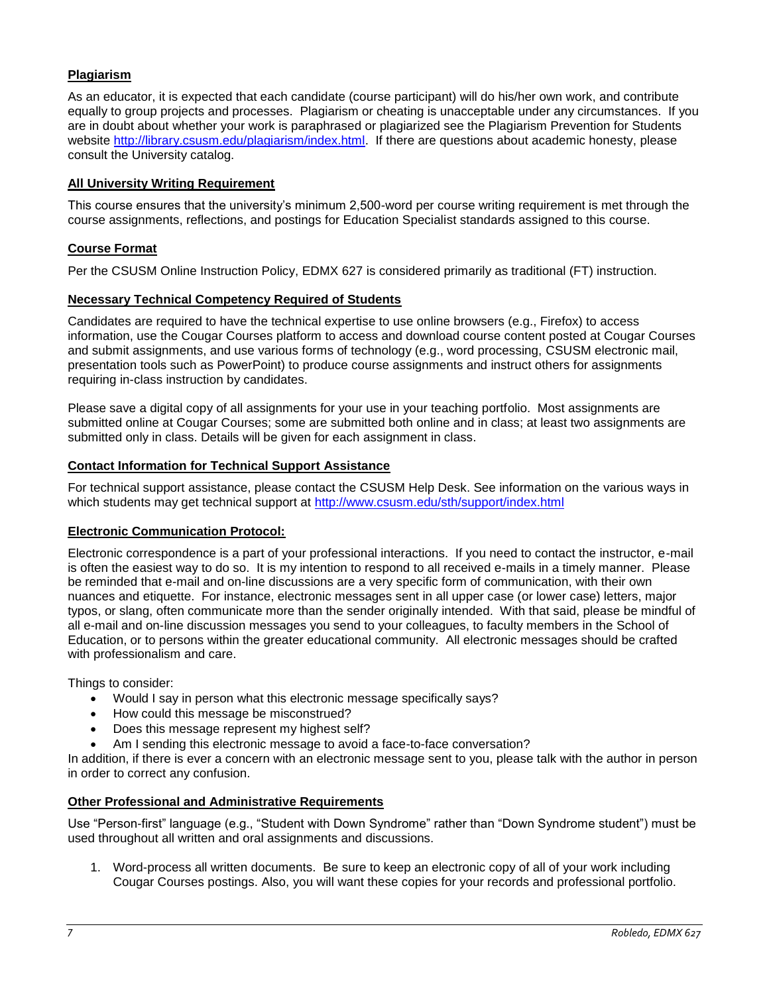# <span id="page-6-0"></span>**Plagiarism**

As an educator, it is expected that each candidate (course participant) will do his/her own work, and contribute equally to group projects and processes. Plagiarism or cheating is unacceptable under any circumstances. If you are in doubt about whether your work is paraphrased or plagiarized see the Plagiarism Prevention for Students website [http://library.csusm.edu/plagiarism/index.html.](http://library.csusm.edu/plagiarism/index.html) If there are questions about academic honesty, please consult the University catalog.

## <span id="page-6-1"></span>**All University Writing Requirement**

This course ensures that the university's minimum 2,500-word per course writing requirement is met through the course assignments, reflections, and postings for Education Specialist standards assigned to this course.

## <span id="page-6-2"></span>**Course Format**

Per the CSUSM Online Instruction Policy, EDMX 627 is considered primarily as traditional (FT) instruction.

## <span id="page-6-3"></span>**Necessary Technical Competency Required of Students**

Candidates are required to have the technical expertise to use online browsers (e.g., Firefox) to access information, use the Cougar Courses platform to access and download course content posted at Cougar Courses and submit assignments, and use various forms of technology (e.g., word processing, CSUSM electronic mail, presentation tools such as PowerPoint) to produce course assignments and instruct others for assignments requiring in-class instruction by candidates.

Please save a digital copy of all assignments for your use in your teaching portfolio. Most assignments are submitted online at Cougar Courses; some are submitted both online and in class; at least two assignments are submitted only in class. Details will be given for each assignment in class.

## <span id="page-6-4"></span>**Contact Information for Technical Support Assistance**

For technical support assistance, please contact the CSUSM Help Desk. See information on the various ways in which students may get technical support at<http://www.csusm.edu/sth/support/index.html>

## <span id="page-6-5"></span>**Electronic Communication Protocol:**

Electronic correspondence is a part of your professional interactions. If you need to contact the instructor, e-mail is often the easiest way to do so. It is my intention to respond to all received e-mails in a timely manner. Please be reminded that e-mail and on-line discussions are a very specific form of communication, with their own nuances and etiquette. For instance, electronic messages sent in all upper case (or lower case) letters, major typos, or slang, often communicate more than the sender originally intended. With that said, please be mindful of all e-mail and on-line discussion messages you send to your colleagues, to faculty members in the School of Education, or to persons within the greater educational community. All electronic messages should be crafted with professionalism and care.

Things to consider:

- Would I say in person what this electronic message specifically says?
- How could this message be misconstrued?
- Does this message represent my highest self?
- Am I sending this electronic message to avoid a face-to-face conversation?

In addition, if there is ever a concern with an electronic message sent to you, please talk with the author in person in order to correct any confusion.

## <span id="page-6-6"></span>**Other Professional and Administrative Requirements**

Use "Person-first" language (e.g., "Student with Down Syndrome" rather than "Down Syndrome student") must be used throughout all written and oral assignments and discussions.

1. Word-process all written documents. Be sure to keep an electronic copy of all of your work including Cougar Courses postings. Also, you will want these copies for your records and professional portfolio.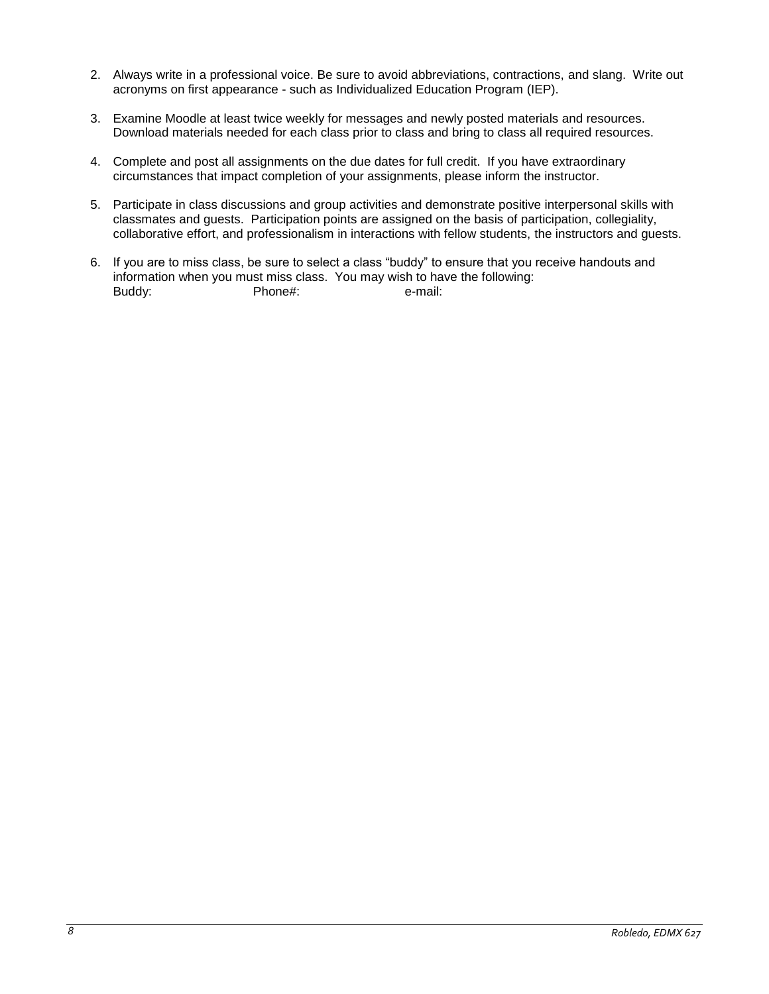- 2. Always write in a professional voice. Be sure to avoid abbreviations, contractions, and slang. Write out acronyms on first appearance - such as Individualized Education Program (IEP).
- 3. Examine Moodle at least twice weekly for messages and newly posted materials and resources. Download materials needed for each class prior to class and bring to class all required resources.
- 4. Complete and post all assignments on the due dates for full credit. If you have extraordinary circumstances that impact completion of your assignments, please inform the instructor.
- 5. Participate in class discussions and group activities and demonstrate positive interpersonal skills with classmates and guests. Participation points are assigned on the basis of participation, collegiality, collaborative effort, and professionalism in interactions with fellow students, the instructors and guests.
- 6. If you are to miss class, be sure to select a class "buddy" to ensure that you receive handouts and information when you must miss class. You may wish to have the following: Buddy: Phone#: e-mail: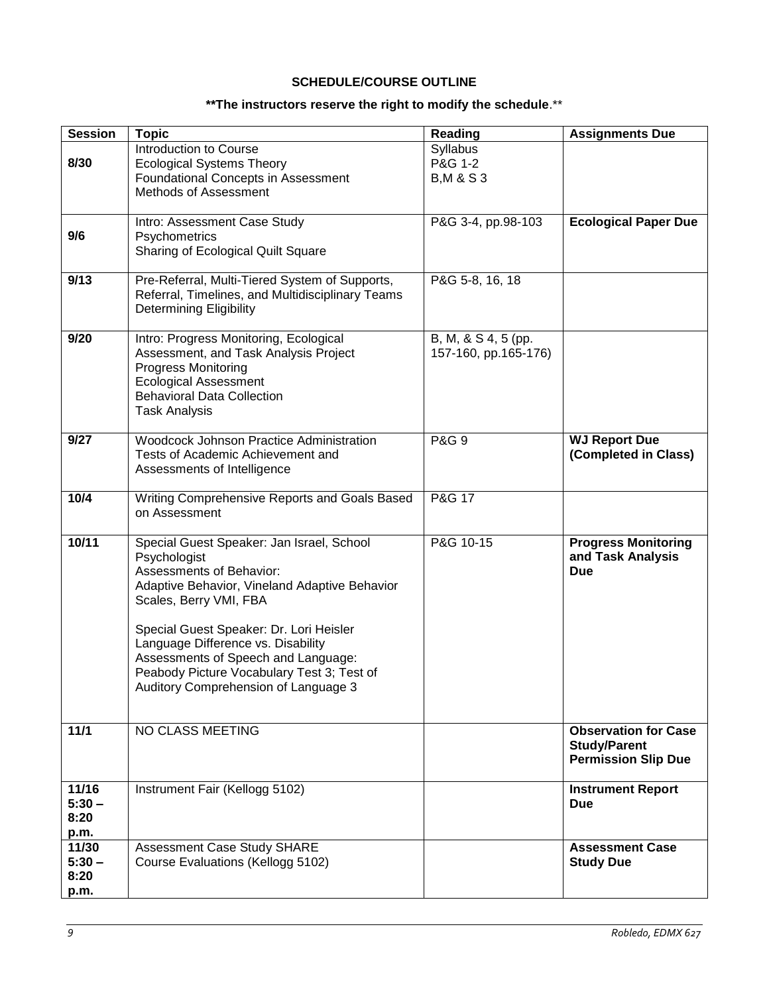# **SCHEDULE/COURSE OUTLINE**

# **\*\*The instructors reserve the right to modify the schedule**.\*\*

<span id="page-8-0"></span>

| <b>Session</b>                    | <b>Topic</b>                                                                                                                                                                                                                                                                                                                                                                          | <b>Reading</b>                               | <b>Assignments Due</b>                                                           |
|-----------------------------------|---------------------------------------------------------------------------------------------------------------------------------------------------------------------------------------------------------------------------------------------------------------------------------------------------------------------------------------------------------------------------------------|----------------------------------------------|----------------------------------------------------------------------------------|
| 8/30                              | Introduction to Course<br><b>Ecological Systems Theory</b><br>Foundational Concepts in Assessment<br>Methods of Assessment                                                                                                                                                                                                                                                            | Syllabus<br>P&G 1-2<br><b>B, M &amp; S 3</b> |                                                                                  |
| 9/6                               | Intro: Assessment Case Study<br>Psychometrics<br>Sharing of Ecological Quilt Square                                                                                                                                                                                                                                                                                                   | P&G 3-4, pp.98-103                           | <b>Ecological Paper Due</b>                                                      |
| 9/13                              | Pre-Referral, Multi-Tiered System of Supports,<br>Referral, Timelines, and Multidisciplinary Teams<br><b>Determining Eligibility</b>                                                                                                                                                                                                                                                  | P&G 5-8, 16, 18                              |                                                                                  |
| 9/20                              | Intro: Progress Monitoring, Ecological<br>Assessment, and Task Analysis Project<br><b>Progress Monitoring</b><br><b>Ecological Assessment</b><br><b>Behavioral Data Collection</b><br><b>Task Analysis</b>                                                                                                                                                                            | B, M, & S 4, 5 (pp.<br>157-160, pp.165-176)  |                                                                                  |
| 9/27                              | <b>Woodcock Johnson Practice Administration</b><br>Tests of Academic Achievement and<br>Assessments of Intelligence                                                                                                                                                                                                                                                                   | <b>P&amp;G 9</b>                             | <b>WJ Report Due</b><br>(Completed in Class)                                     |
| 10/4                              | Writing Comprehensive Reports and Goals Based<br>on Assessment                                                                                                                                                                                                                                                                                                                        | P&G 17                                       |                                                                                  |
| 10/11                             | Special Guest Speaker: Jan Israel, School<br>Psychologist<br><b>Assessments of Behavior:</b><br>Adaptive Behavior, Vineland Adaptive Behavior<br>Scales, Berry VMI, FBA<br>Special Guest Speaker: Dr. Lori Heisler<br>Language Difference vs. Disability<br>Assessments of Speech and Language:<br>Peabody Picture Vocabulary Test 3; Test of<br>Auditory Comprehension of Language 3 | P&G 10-15                                    | <b>Progress Monitoring</b><br>and Task Analysis<br><b>Due</b>                    |
| $\frac{11}{11}$                   | NO CLASS MEETING                                                                                                                                                                                                                                                                                                                                                                      |                                              | <b>Observation for Case</b><br><b>Study/Parent</b><br><b>Permission Slip Due</b> |
| 11/16<br>$5:30 -$<br>8:20<br>p.m. | Instrument Fair (Kellogg 5102)                                                                                                                                                                                                                                                                                                                                                        |                                              | <b>Instrument Report</b><br><b>Due</b>                                           |
| 11/30<br>$5:30 -$<br>8:20<br>p.m. | Assessment Case Study SHARE<br>Course Evaluations (Kellogg 5102)                                                                                                                                                                                                                                                                                                                      |                                              | <b>Assessment Case</b><br><b>Study Due</b>                                       |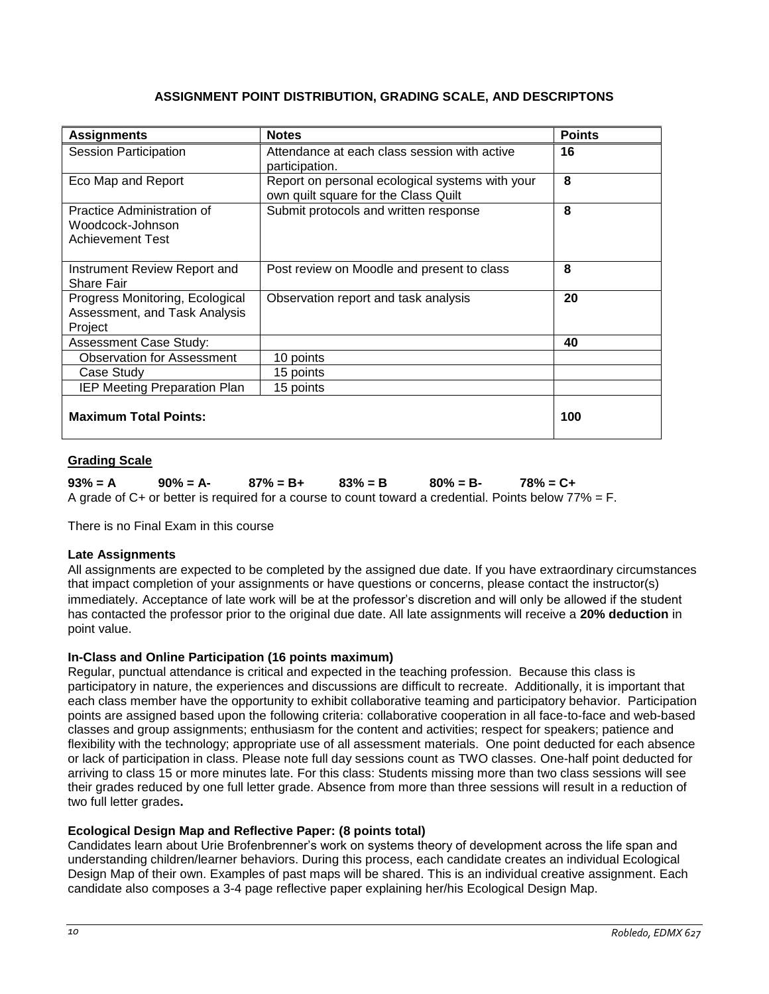| ASSIGNMENT POINT DISTRIBUTION, GRADING SCALE, AND DESCRIPTONS |  |  |
|---------------------------------------------------------------|--|--|
|---------------------------------------------------------------|--|--|

<span id="page-9-0"></span>

| <b>Assignments</b>                                                          | <b>Notes</b>                                                                            | <b>Points</b> |
|-----------------------------------------------------------------------------|-----------------------------------------------------------------------------------------|---------------|
| Session Participation                                                       | Attendance at each class session with active<br>participation.                          | 16            |
| Eco Map and Report                                                          | Report on personal ecological systems with your<br>own quilt square for the Class Quilt | 8             |
| Practice Administration of<br>Woodcock-Johnson<br><b>Achievement Test</b>   | Submit protocols and written response                                                   | 8             |
| Instrument Review Report and<br>Share Fair                                  | Post review on Moodle and present to class                                              | 8             |
| Progress Monitoring, Ecological<br>Assessment, and Task Analysis<br>Project | Observation report and task analysis                                                    | 20            |
| <b>Assessment Case Study:</b>                                               |                                                                                         | 40            |
| <b>Observation for Assessment</b>                                           | 10 points                                                                               |               |
| Case Study                                                                  | 15 points                                                                               |               |
| <b>IEP Meeting Preparation Plan</b>                                         | 15 points                                                                               |               |
| <b>Maximum Total Points:</b>                                                |                                                                                         | 100           |

# <span id="page-9-1"></span>**Grading Scale**

**93% = A 90% = A- 87% = B+ 83% = B 80% = B- 78% = C+** A grade of  $C$ + or better is required for a course to count toward a credential. Points below  $77\% = F$ .

There is no Final Exam in this course

# **Late Assignments**

All assignments are expected to be completed by the assigned due date. If you have extraordinary circumstances that impact completion of your assignments or have questions or concerns, please contact the instructor(s) immediately. Acceptance of late work will be at the professor's discretion and will only be allowed if the student has contacted the professor prior to the original due date. All late assignments will receive a **20% deduction** in point value.

# **In-Class and Online Participation (16 points maximum)**

Regular, punctual attendance is critical and expected in the teaching profession. Because this class is participatory in nature, the experiences and discussions are difficult to recreate. Additionally, it is important that each class member have the opportunity to exhibit collaborative teaming and participatory behavior. Participation points are assigned based upon the following criteria: collaborative cooperation in all face-to-face and web-based classes and group assignments; enthusiasm for the content and activities; respect for speakers; patience and flexibility with the technology; appropriate use of all assessment materials. One point deducted for each absence or lack of participation in class. Please note full day sessions count as TWO classes. One-half point deducted for arriving to class 15 or more minutes late. For this class: Students missing more than two class sessions will see their grades reduced by one full letter grade. Absence from more than three sessions will result in a reduction of two full letter grades**.** 

## **Ecological Design Map and Reflective Paper: (8 points total)**

Candidates learn about Urie Brofenbrenner's work on systems theory of development across the life span and understanding children/learner behaviors. During this process, each candidate creates an individual Ecological Design Map of their own. Examples of past maps will be shared. This is an individual creative assignment. Each candidate also composes a 3-4 page reflective paper explaining her/his Ecological Design Map.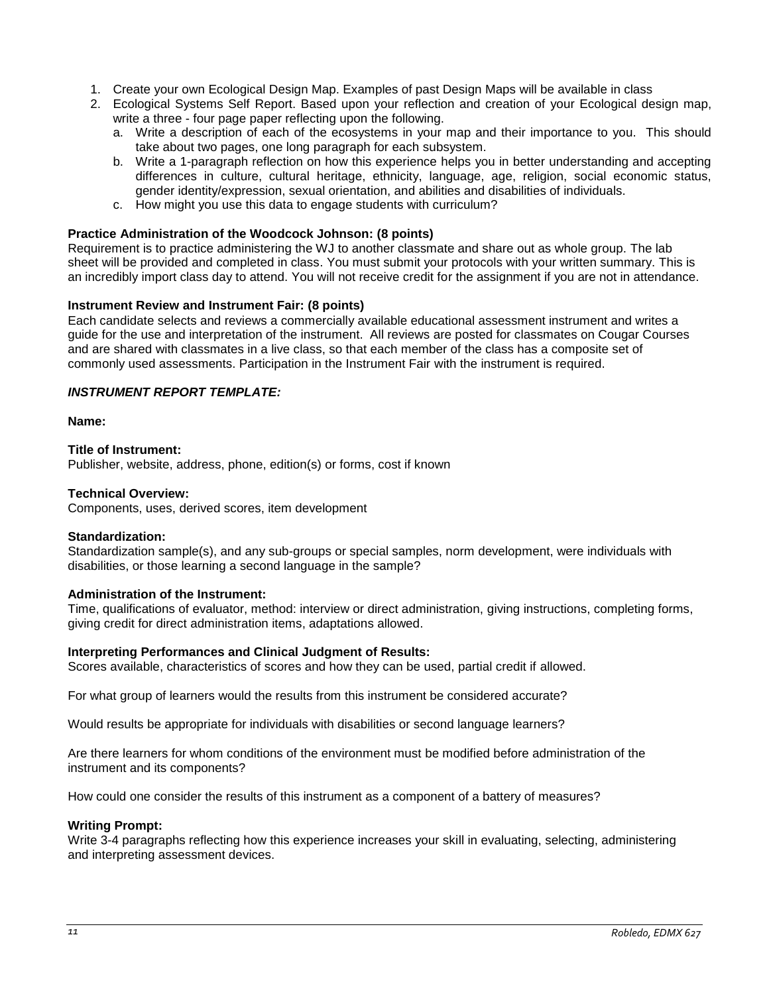- 1. Create your own Ecological Design Map. Examples of past Design Maps will be available in class
- 2. Ecological Systems Self Report. Based upon your reflection and creation of your Ecological design map, write a three - four page paper reflecting upon the following.
	- a. Write a description of each of the ecosystems in your map and their importance to you. This should take about two pages, one long paragraph for each subsystem.
	- b. Write a 1-paragraph reflection on how this experience helps you in better understanding and accepting differences in culture, cultural heritage, ethnicity, language, age, religion, social economic status, gender identity/expression, sexual orientation, and abilities and disabilities of individuals.
	- c. How might you use this data to engage students with curriculum?

## **Practice Administration of the Woodcock Johnson: (8 points)**

Requirement is to practice administering the WJ to another classmate and share out as whole group. The lab sheet will be provided and completed in class. You must submit your protocols with your written summary. This is an incredibly import class day to attend. You will not receive credit for the assignment if you are not in attendance.

## **Instrument Review and Instrument Fair: (8 points)**

Each candidate selects and reviews a commercially available educational assessment instrument and writes a guide for the use and interpretation of the instrument. All reviews are posted for classmates on Cougar Courses and are shared with classmates in a live class, so that each member of the class has a composite set of commonly used assessments. Participation in the Instrument Fair with the instrument is required.

# *INSTRUMENT REPORT TEMPLATE:*

## **Name:**

## **Title of Instrument:**

Publisher, website, address, phone, edition(s) or forms, cost if known

## **Technical Overview:**

Components, uses, derived scores, item development

## **Standardization:**

Standardization sample(s), and any sub-groups or special samples, norm development, were individuals with disabilities, or those learning a second language in the sample?

## **Administration of the Instrument:**

Time, qualifications of evaluator, method: interview or direct administration, giving instructions, completing forms, giving credit for direct administration items, adaptations allowed.

## **Interpreting Performances and Clinical Judgment of Results:**

Scores available, characteristics of scores and how they can be used, partial credit if allowed.

For what group of learners would the results from this instrument be considered accurate?

Would results be appropriate for individuals with disabilities or second language learners?

Are there learners for whom conditions of the environment must be modified before administration of the instrument and its components?

How could one consider the results of this instrument as a component of a battery of measures?

## **Writing Prompt:**

Write 3-4 paragraphs reflecting how this experience increases your skill in evaluating, selecting, administering and interpreting assessment devices.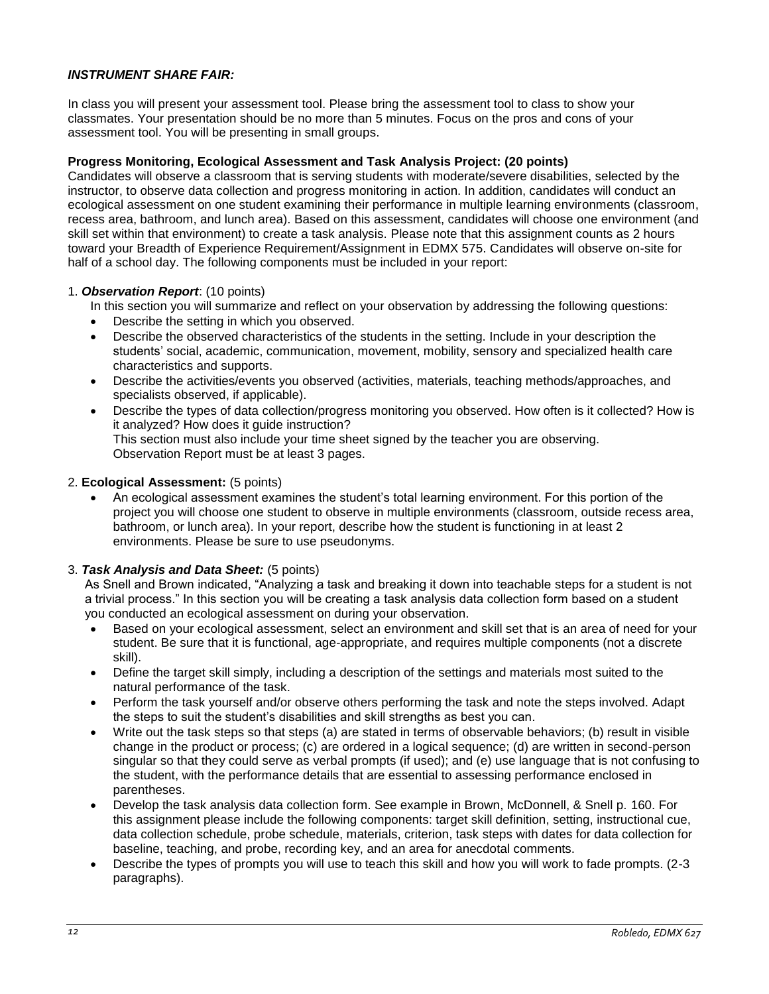# *INSTRUMENT SHARE FAIR:*

In class you will present your assessment tool. Please bring the assessment tool to class to show your classmates. Your presentation should be no more than 5 minutes. Focus on the pros and cons of your assessment tool. You will be presenting in small groups.

## **Progress Monitoring, Ecological Assessment and Task Analysis Project: (20 points)**

Candidates will observe a classroom that is serving students with moderate/severe disabilities, selected by the instructor, to observe data collection and progress monitoring in action. In addition, candidates will conduct an ecological assessment on one student examining their performance in multiple learning environments (classroom, recess area, bathroom, and lunch area). Based on this assessment, candidates will choose one environment (and skill set within that environment) to create a task analysis. Please note that this assignment counts as 2 hours toward your Breadth of Experience Requirement/Assignment in EDMX 575. Candidates will observe on-site for half of a school day. The following components must be included in your report:

## 1. *Observation Report*: (10 points)

- In this section you will summarize and reflect on your observation by addressing the following questions:
- Describe the setting in which you observed.
- Describe the observed characteristics of the students in the setting. Include in your description the students' social, academic, communication, movement, mobility, sensory and specialized health care characteristics and supports.
- Describe the activities/events you observed (activities, materials, teaching methods/approaches, and specialists observed, if applicable).
- Describe the types of data collection/progress monitoring you observed. How often is it collected? How is it analyzed? How does it guide instruction? This section must also include your time sheet signed by the teacher you are observing. Observation Report must be at least 3 pages.

## 2. **Ecological Assessment:** (5 points)

 An ecological assessment examines the student's total learning environment. For this portion of the project you will choose one student to observe in multiple environments (classroom, outside recess area, bathroom, or lunch area). In your report, describe how the student is functioning in at least 2 environments. Please be sure to use pseudonyms.

## 3. *Task Analysis and Data Sheet:* (5 points)

As Snell and Brown indicated, "Analyzing a task and breaking it down into teachable steps for a student is not a trivial process." In this section you will be creating a task analysis data collection form based on a student you conducted an ecological assessment on during your observation.

- Based on your ecological assessment, select an environment and skill set that is an area of need for your student. Be sure that it is functional, age-appropriate, and requires multiple components (not a discrete skill).
- Define the target skill simply, including a description of the settings and materials most suited to the natural performance of the task.
- Perform the task yourself and/or observe others performing the task and note the steps involved. Adapt the steps to suit the student's disabilities and skill strengths as best you can.
- Write out the task steps so that steps (a) are stated in terms of observable behaviors; (b) result in visible change in the product or process; (c) are ordered in a logical sequence; (d) are written in second-person singular so that they could serve as verbal prompts (if used); and (e) use language that is not confusing to the student, with the performance details that are essential to assessing performance enclosed in parentheses.
- Develop the task analysis data collection form. See example in Brown, McDonnell, & Snell p. 160. For this assignment please include the following components: target skill definition, setting, instructional cue, data collection schedule, probe schedule, materials, criterion, task steps with dates for data collection for baseline, teaching, and probe, recording key, and an area for anecdotal comments.
- Describe the types of prompts you will use to teach this skill and how you will work to fade prompts. (2-3 paragraphs).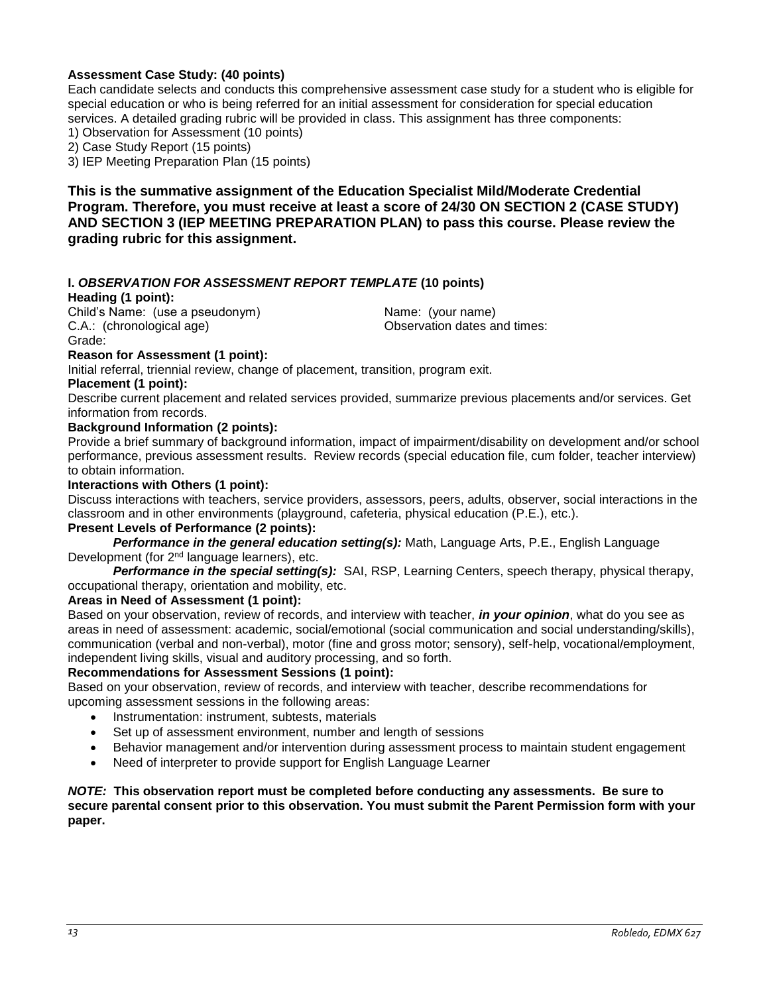## **Assessment Case Study: (40 points)**

Each candidate selects and conducts this comprehensive assessment case study for a student who is eligible for special education or who is being referred for an initial assessment for consideration for special education services. A detailed grading rubric will be provided in class. This assignment has three components:

1) Observation for Assessment (10 points)

2) Case Study Report (15 points)

3) IEP Meeting Preparation Plan (15 points)

**This is the summative assignment of the Education Specialist Mild/Moderate Credential Program. Therefore, you must receive at least a score of 24/30 ON SECTION 2 (CASE STUDY) AND SECTION 3 (IEP MEETING PREPARATION PLAN) to pass this course. Please review the grading rubric for this assignment.**

## **I.** *OBSERVATION FOR ASSESSMENT REPORT TEMPLATE* **(10 points)**

#### **Heading (1 point):**

Child's Name: (use a pseudonym) Name: (your name) C.A.: (chronological age) Observation dates and times: Grade:

# **Reason for Assessment (1 point):**

Initial referral, triennial review, change of placement, transition, program exit.

#### **Placement (1 point):**

Describe current placement and related services provided, summarize previous placements and/or services. Get information from records.

#### **Background Information (2 points):**

Provide a brief summary of background information, impact of impairment/disability on development and/or school performance, previous assessment results. Review records (special education file, cum folder, teacher interview) to obtain information.

#### **Interactions with Others (1 point):**

Discuss interactions with teachers, service providers, assessors, peers, adults, observer, social interactions in the classroom and in other environments (playground, cafeteria, physical education (P.E.), etc.).

#### **Present Levels of Performance (2 points):**

*Performance in the general education setting(s):* Math, Language Arts, P.E., English Language Development (for 2nd language learners), etc.

*Performance in the special setting(s):* SAI, RSP, Learning Centers, speech therapy, physical therapy, occupational therapy, orientation and mobility, etc.

## **Areas in Need of Assessment (1 point):**

Based on your observation, review of records, and interview with teacher, *in your opinion*, what do you see as areas in need of assessment: academic, social/emotional (social communication and social understanding/skills), communication (verbal and non-verbal), motor (fine and gross motor; sensory), self-help, vocational/employment, independent living skills, visual and auditory processing, and so forth.

## **Recommendations for Assessment Sessions (1 point):**

Based on your observation, review of records, and interview with teacher, describe recommendations for upcoming assessment sessions in the following areas:

- Instrumentation: instrument, subtests, materials
- Set up of assessment environment, number and length of sessions
- Behavior management and/or intervention during assessment process to maintain student engagement
- Need of interpreter to provide support for English Language Learner

## *NOTE:* **This observation report must be completed before conducting any assessments. Be sure to secure parental consent prior to this observation. You must submit the Parent Permission form with your paper.**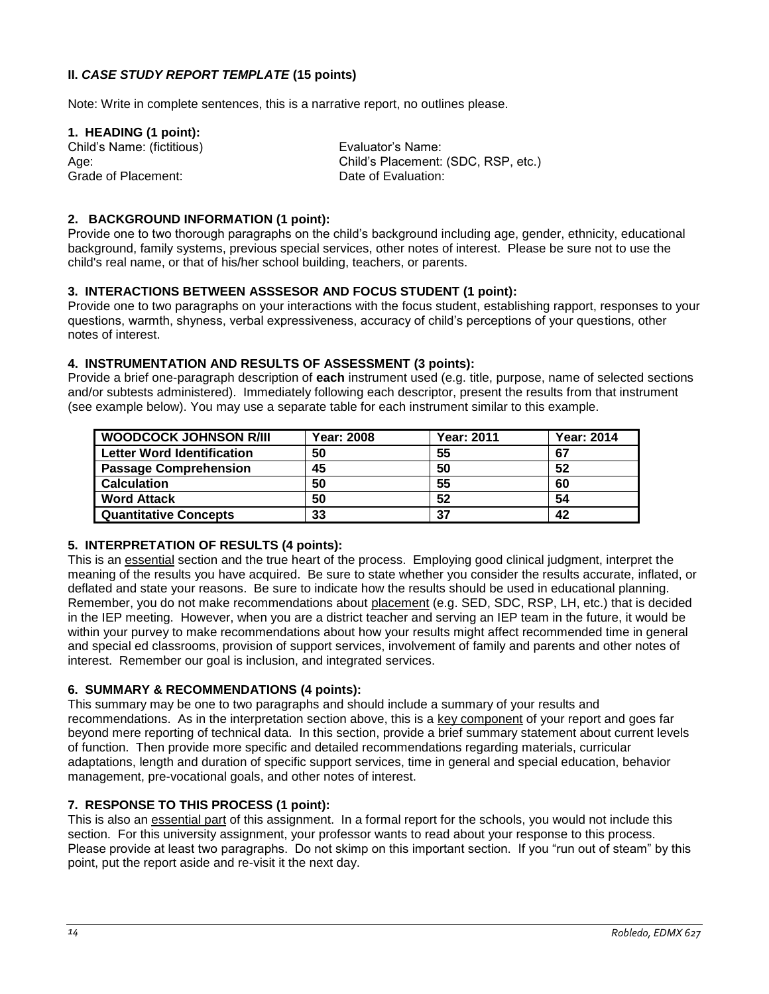# **II.** *CASE STUDY REPORT TEMPLATE* **(15 points)**

Note: Write in complete sentences, this is a narrative report, no outlines please.

# **1. HEADING (1 point):**

Child's Name: (fictitious) Evaluator's Name: Grade of Placement: **Date of Evaluation:** Date of Evaluation:

Age: Child's Placement: (SDC, RSP, etc.)

## **2. BACKGROUND INFORMATION (1 point):**

Provide one to two thorough paragraphs on the child's background including age, gender, ethnicity, educational background, family systems, previous special services, other notes of interest. Please be sure not to use the child's real name, or that of his/her school building, teachers, or parents.

# **3. INTERACTIONS BETWEEN ASSSESOR AND FOCUS STUDENT (1 point):**

Provide one to two paragraphs on your interactions with the focus student, establishing rapport, responses to your questions, warmth, shyness, verbal expressiveness, accuracy of child's perceptions of your questions, other notes of interest.

## **4. INSTRUMENTATION AND RESULTS OF ASSESSMENT (3 points):**

Provide a brief one-paragraph description of **each** instrument used (e.g. title, purpose, name of selected sections and/or subtests administered). Immediately following each descriptor, present the results from that instrument (see example below). You may use a separate table for each instrument similar to this example.

| <b>WOODCOCK JOHNSON R/III</b>     | <b>Year: 2008</b> | <b>Year: 2011</b> | <b>Year: 2014</b> |
|-----------------------------------|-------------------|-------------------|-------------------|
| <b>Letter Word Identification</b> | 50                | 55                | 67                |
| <b>Passage Comprehension</b>      | 45                | 50                | 52                |
| <b>Calculation</b>                | 50                | 55                | 60                |
| <b>Word Attack</b>                | 50                | 52                | 54                |
| <b>Quantitative Concepts</b>      | 33                | 37                | 42                |

# **5. INTERPRETATION OF RESULTS (4 points):**

This is an essential section and the true heart of the process. Employing good clinical judgment, interpret the meaning of the results you have acquired. Be sure to state whether you consider the results accurate, inflated, or deflated and state your reasons. Be sure to indicate how the results should be used in educational planning. Remember, you do not make recommendations about placement (e.g. SED, SDC, RSP, LH, etc.) that is decided in the IEP meeting. However, when you are a district teacher and serving an IEP team in the future, it would be within your purvey to make recommendations about how your results might affect recommended time in general and special ed classrooms, provision of support services, involvement of family and parents and other notes of interest. Remember our goal is inclusion, and integrated services.

## **6. SUMMARY & RECOMMENDATIONS (4 points):**

This summary may be one to two paragraphs and should include a summary of your results and recommendations. As in the interpretation section above, this is a key component of your report and goes far beyond mere reporting of technical data. In this section, provide a brief summary statement about current levels of function. Then provide more specific and detailed recommendations regarding materials, curricular adaptations, length and duration of specific support services, time in general and special education, behavior management, pre-vocational goals, and other notes of interest.

# **7. RESPONSE TO THIS PROCESS (1 point):**

This is also an essential part of this assignment. In a formal report for the schools, you would not include this section. For this university assignment, your professor wants to read about your response to this process. Please provide at least two paragraphs. Do not skimp on this important section. If you "run out of steam" by this point, put the report aside and re-visit it the next day.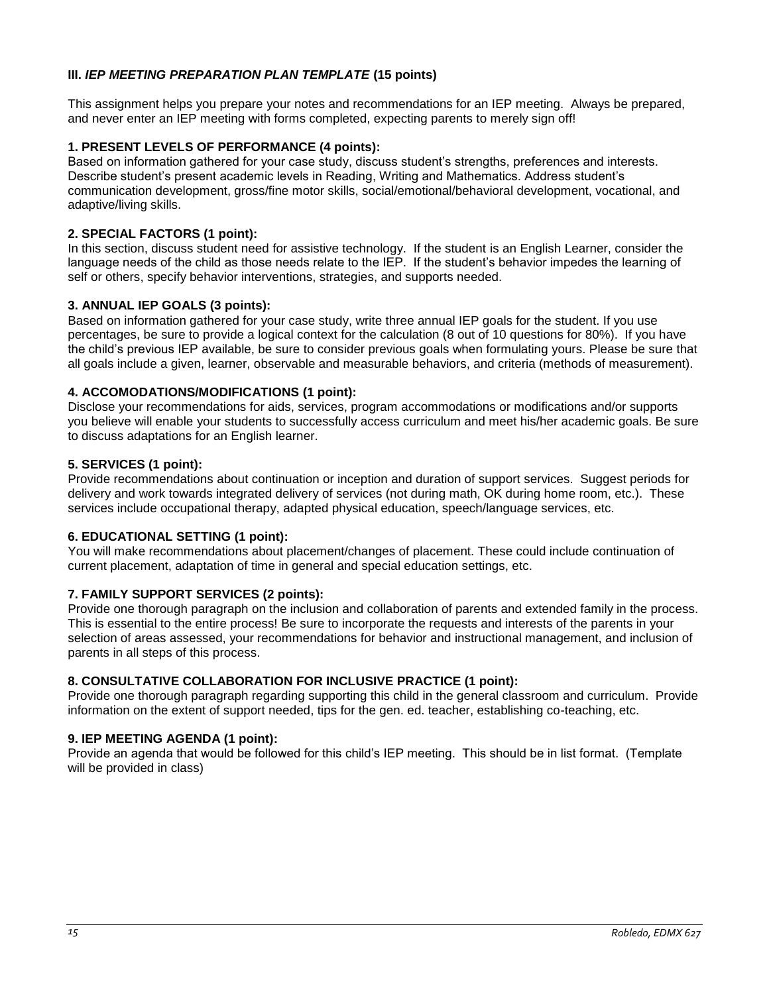# **III.** *IEP MEETING PREPARATION PLAN TEMPLATE* **(15 points)**

This assignment helps you prepare your notes and recommendations for an IEP meeting. Always be prepared, and never enter an IEP meeting with forms completed, expecting parents to merely sign off!

## **1. PRESENT LEVELS OF PERFORMANCE (4 points):**

Based on information gathered for your case study, discuss student's strengths, preferences and interests. Describe student's present academic levels in Reading, Writing and Mathematics. Address student's communication development, gross/fine motor skills, social/emotional/behavioral development, vocational, and adaptive/living skills.

## **2. SPECIAL FACTORS (1 point):**

In this section, discuss student need for assistive technology. If the student is an English Learner, consider the language needs of the child as those needs relate to the IEP. If the student's behavior impedes the learning of self or others, specify behavior interventions, strategies, and supports needed.

## **3. ANNUAL IEP GOALS (3 points):**

Based on information gathered for your case study, write three annual IEP goals for the student. If you use percentages, be sure to provide a logical context for the calculation (8 out of 10 questions for 80%). If you have the child's previous IEP available, be sure to consider previous goals when formulating yours. Please be sure that all goals include a given, learner, observable and measurable behaviors, and criteria (methods of measurement).

## **4. ACCOMODATIONS/MODIFICATIONS (1 point):**

Disclose your recommendations for aids, services, program accommodations or modifications and/or supports you believe will enable your students to successfully access curriculum and meet his/her academic goals. Be sure to discuss adaptations for an English learner.

## **5. SERVICES (1 point):**

Provide recommendations about continuation or inception and duration of support services. Suggest periods for delivery and work towards integrated delivery of services (not during math, OK during home room, etc.). These services include occupational therapy, adapted physical education, speech/language services, etc.

## **6. EDUCATIONAL SETTING (1 point):**

You will make recommendations about placement/changes of placement. These could include continuation of current placement, adaptation of time in general and special education settings, etc.

## **7. FAMILY SUPPORT SERVICES (2 points):**

Provide one thorough paragraph on the inclusion and collaboration of parents and extended family in the process. This is essential to the entire process! Be sure to incorporate the requests and interests of the parents in your selection of areas assessed, your recommendations for behavior and instructional management, and inclusion of parents in all steps of this process.

## **8. CONSULTATIVE COLLABORATION FOR INCLUSIVE PRACTICE (1 point):**

Provide one thorough paragraph regarding supporting this child in the general classroom and curriculum. Provide information on the extent of support needed, tips for the gen. ed. teacher, establishing co-teaching, etc.

## **9. IEP MEETING AGENDA (1 point):**

Provide an agenda that would be followed for this child's IEP meeting. This should be in list format. (Template will be provided in class)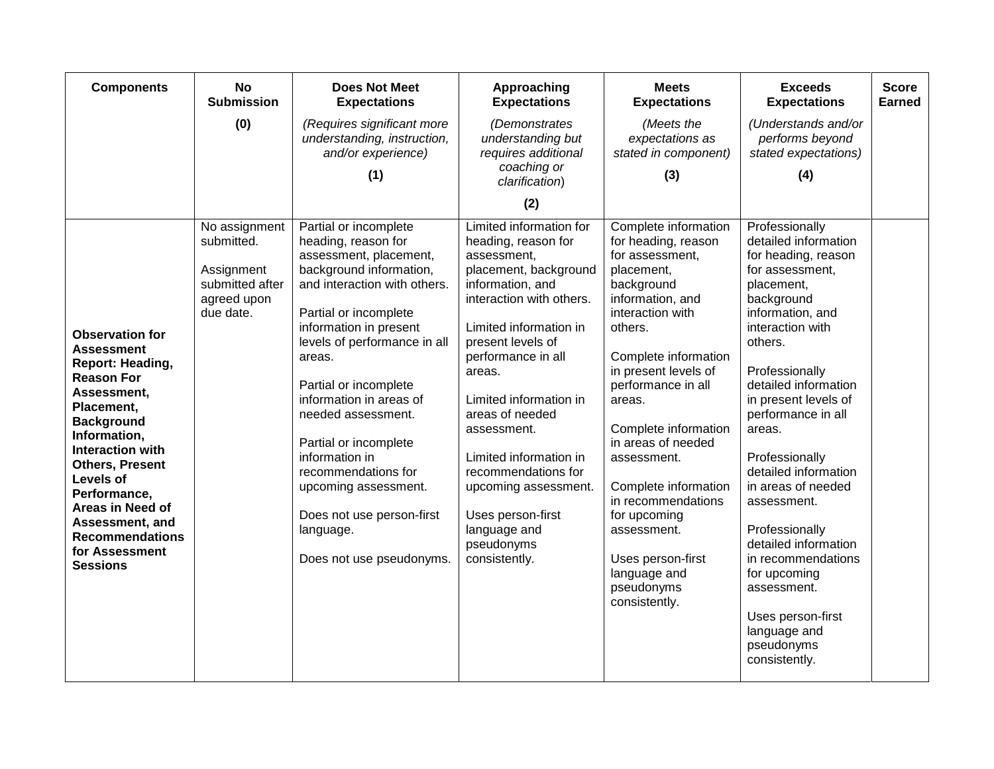| <b>Components</b>                                                                                                                                                                                                                                                                                                                       | <b>No</b><br><b>Submission</b>                                                           | <b>Does Not Meet</b><br><b>Expectations</b>                                                                                                                                                                                                                                                                                                                                                                                                                              | Approaching<br><b>Expectations</b>                                                                                                                                                                                                                                                                                                                                                                                             | <b>Meets</b><br><b>Expectations</b>                                                                                                                                                                                                                                                                                                                                                                                                         | <b>Exceeds</b><br><b>Expectations</b>                                                                                                                                                                                                                                                                                                                                                                                                                                                                               | <b>Score</b><br><b>Earned</b> |
|-----------------------------------------------------------------------------------------------------------------------------------------------------------------------------------------------------------------------------------------------------------------------------------------------------------------------------------------|------------------------------------------------------------------------------------------|--------------------------------------------------------------------------------------------------------------------------------------------------------------------------------------------------------------------------------------------------------------------------------------------------------------------------------------------------------------------------------------------------------------------------------------------------------------------------|--------------------------------------------------------------------------------------------------------------------------------------------------------------------------------------------------------------------------------------------------------------------------------------------------------------------------------------------------------------------------------------------------------------------------------|---------------------------------------------------------------------------------------------------------------------------------------------------------------------------------------------------------------------------------------------------------------------------------------------------------------------------------------------------------------------------------------------------------------------------------------------|---------------------------------------------------------------------------------------------------------------------------------------------------------------------------------------------------------------------------------------------------------------------------------------------------------------------------------------------------------------------------------------------------------------------------------------------------------------------------------------------------------------------|-------------------------------|
|                                                                                                                                                                                                                                                                                                                                         | (0)                                                                                      | (Requires significant more<br>understanding, instruction,<br>and/or experience)                                                                                                                                                                                                                                                                                                                                                                                          | (Demonstrates<br>understanding but<br>requires additional                                                                                                                                                                                                                                                                                                                                                                      | (Meets the<br>expectations as<br>stated in component)                                                                                                                                                                                                                                                                                                                                                                                       | (Understands and/or<br>performs beyond<br>stated expectations)                                                                                                                                                                                                                                                                                                                                                                                                                                                      |                               |
|                                                                                                                                                                                                                                                                                                                                         |                                                                                          | (1)                                                                                                                                                                                                                                                                                                                                                                                                                                                                      | coaching or<br>clarification)                                                                                                                                                                                                                                                                                                                                                                                                  | (3)                                                                                                                                                                                                                                                                                                                                                                                                                                         | (4)                                                                                                                                                                                                                                                                                                                                                                                                                                                                                                                 |                               |
|                                                                                                                                                                                                                                                                                                                                         |                                                                                          |                                                                                                                                                                                                                                                                                                                                                                                                                                                                          | (2)                                                                                                                                                                                                                                                                                                                                                                                                                            |                                                                                                                                                                                                                                                                                                                                                                                                                                             |                                                                                                                                                                                                                                                                                                                                                                                                                                                                                                                     |                               |
| <b>Observation for</b><br><b>Assessment</b><br>Report: Heading,<br><b>Reason For</b><br>Assessment,<br>Placement,<br><b>Background</b><br>Information,<br><b>Interaction with</b><br><b>Others, Present</b><br>Levels of<br>Performance,<br>Areas in Need of<br>Assessment, and<br><b>Recommendations</b><br>for Assessment<br>Sessions | No assignment<br>submitted.<br>Assignment<br>submitted after<br>agreed upon<br>due date. | Partial or incomplete<br>heading, reason for<br>assessment, placement,<br>background information,<br>and interaction with others.<br>Partial or incomplete<br>information in present<br>levels of performance in all<br>areas.<br>Partial or incomplete<br>information in areas of<br>needed assessment.<br>Partial or incomplete<br>information in<br>recommendations for<br>upcoming assessment.<br>Does not use person-first<br>language.<br>Does not use pseudonyms. | Limited information for<br>heading, reason for<br>assessment,<br>placement, background<br>information, and<br>interaction with others.<br>Limited information in<br>present levels of<br>performance in all<br>areas.<br>Limited information in<br>areas of needed<br>assessment.<br>Limited information in<br>recommendations for<br>upcoming assessment.<br>Uses person-first<br>language and<br>pseudonyms<br>consistently. | Complete information<br>for heading, reason<br>for assessment,<br>placement,<br>background<br>information, and<br>interaction with<br>others.<br>Complete information<br>in present levels of<br>performance in all<br>areas.<br>Complete information<br>in areas of needed<br>assessment.<br>Complete information<br>in recommendations<br>for upcoming<br>assessment.<br>Uses person-first<br>language and<br>pseudonyms<br>consistently. | Professionally<br>detailed information<br>for heading, reason<br>for assessment,<br>placement,<br>background<br>information, and<br>interaction with<br>others.<br>Professionally<br>detailed information<br>in present levels of<br>performance in all<br>areas.<br>Professionally<br>detailed information<br>in areas of needed<br>assessment.<br>Professionally<br>detailed information<br>in recommendations<br>for upcoming<br>assessment.<br>Uses person-first<br>language and<br>pseudonyms<br>consistently. |                               |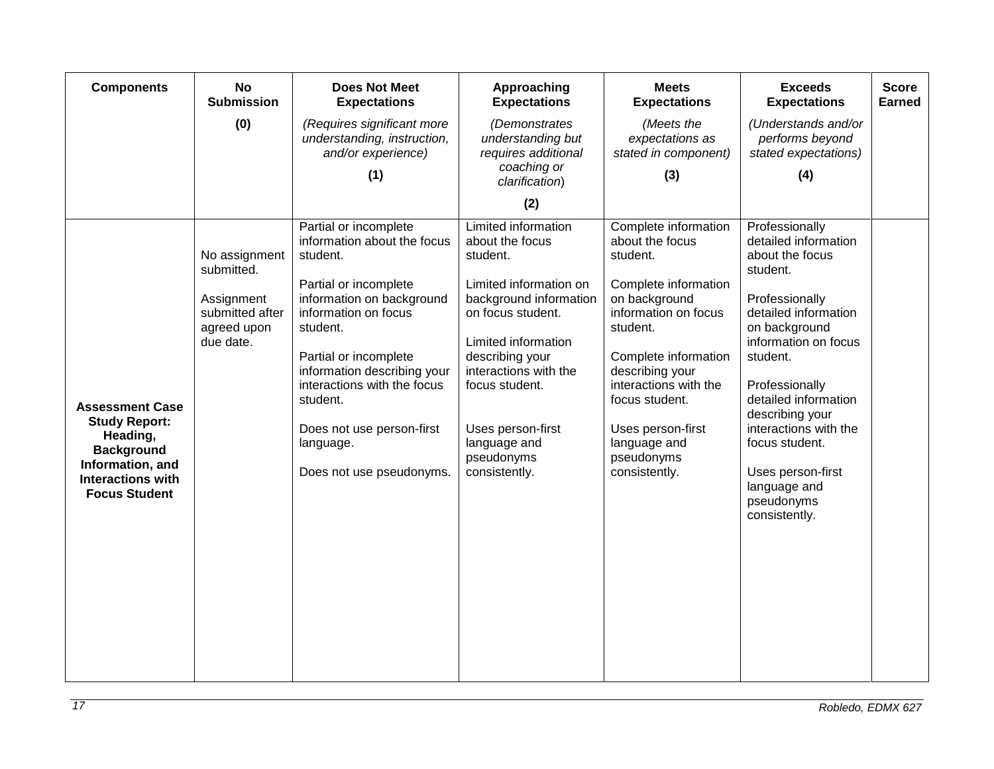| <b>Components</b>                                                                                                                                       | <b>No</b><br><b>Submission</b>                                                           | <b>Does Not Meet</b><br><b>Expectations</b>                                                                                                                                                                                                                                                                                         | <b>Approaching</b><br><b>Expectations</b>                                                                                                                                                                                                                                            | <b>Meets</b><br><b>Expectations</b>                                                                                                                                                                                                                                                        | <b>Exceeds</b><br><b>Expectations</b>                                                                                                                                                                                                                                                                                                            | <b>Score</b><br><b>Earned</b> |
|---------------------------------------------------------------------------------------------------------------------------------------------------------|------------------------------------------------------------------------------------------|-------------------------------------------------------------------------------------------------------------------------------------------------------------------------------------------------------------------------------------------------------------------------------------------------------------------------------------|--------------------------------------------------------------------------------------------------------------------------------------------------------------------------------------------------------------------------------------------------------------------------------------|--------------------------------------------------------------------------------------------------------------------------------------------------------------------------------------------------------------------------------------------------------------------------------------------|--------------------------------------------------------------------------------------------------------------------------------------------------------------------------------------------------------------------------------------------------------------------------------------------------------------------------------------------------|-------------------------------|
|                                                                                                                                                         | (0)                                                                                      | (Requires significant more<br>understanding, instruction,<br>and/or experience)<br>(1)                                                                                                                                                                                                                                              | (Demonstrates<br>understanding but<br>requires additional<br>coaching or<br>clarification)                                                                                                                                                                                           | (Meets the<br>expectations as<br>stated in component)<br>(3)                                                                                                                                                                                                                               | (Understands and/or<br>performs beyond<br>stated expectations)<br>(4)                                                                                                                                                                                                                                                                            |                               |
|                                                                                                                                                         |                                                                                          |                                                                                                                                                                                                                                                                                                                                     | (2)                                                                                                                                                                                                                                                                                  |                                                                                                                                                                                                                                                                                            |                                                                                                                                                                                                                                                                                                                                                  |                               |
| <b>Assessment Case</b><br><b>Study Report:</b><br>Heading,<br><b>Background</b><br>Information, and<br><b>Interactions with</b><br><b>Focus Student</b> | No assignment<br>submitted.<br>Assignment<br>submitted after<br>agreed upon<br>due date. | Partial or incomplete<br>information about the focus<br>student.<br>Partial or incomplete<br>information on background<br>information on focus<br>student.<br>Partial or incomplete<br>information describing your<br>interactions with the focus<br>student.<br>Does not use person-first<br>language.<br>Does not use pseudonyms. | Limited information<br>about the focus<br>student.<br>Limited information on<br>background information<br>on focus student.<br>Limited information<br>describing your<br>interactions with the<br>focus student.<br>Uses person-first<br>language and<br>pseudonyms<br>consistently. | Complete information<br>about the focus<br>student.<br>Complete information<br>on background<br>information on focus<br>student.<br>Complete information<br>describing your<br>interactions with the<br>focus student.<br>Uses person-first<br>language and<br>pseudonyms<br>consistently. | Professionally<br>detailed information<br>about the focus<br>student.<br>Professionally<br>detailed information<br>on background<br>information on focus<br>student.<br>Professionally<br>detailed information<br>describing your<br>interactions with the<br>focus student.<br>Uses person-first<br>language and<br>pseudonyms<br>consistently. |                               |
|                                                                                                                                                         |                                                                                          |                                                                                                                                                                                                                                                                                                                                     |                                                                                                                                                                                                                                                                                      |                                                                                                                                                                                                                                                                                            |                                                                                                                                                                                                                                                                                                                                                  |                               |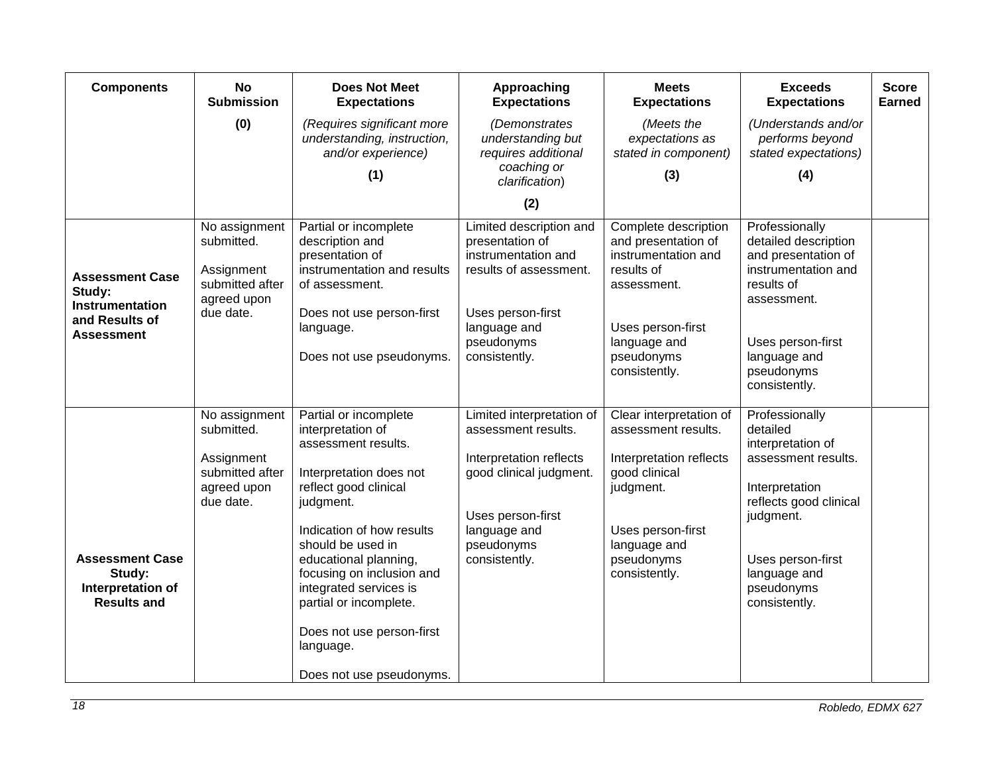| <b>Components</b>                                                           | <b>No</b><br><b>Submission</b>                                                           | <b>Does Not Meet</b><br><b>Expectations</b>                                                                                                                                                                                                                                                                                                                          | Approaching<br><b>Expectations</b>                                                                                                                                         | <b>Meets</b><br><b>Expectations</b>                                                                                                                                         | <b>Exceeds</b><br><b>Expectations</b>                                                                                                                                                               | <b>Score</b><br><b>Earned</b> |
|-----------------------------------------------------------------------------|------------------------------------------------------------------------------------------|----------------------------------------------------------------------------------------------------------------------------------------------------------------------------------------------------------------------------------------------------------------------------------------------------------------------------------------------------------------------|----------------------------------------------------------------------------------------------------------------------------------------------------------------------------|-----------------------------------------------------------------------------------------------------------------------------------------------------------------------------|-----------------------------------------------------------------------------------------------------------------------------------------------------------------------------------------------------|-------------------------------|
|                                                                             | (0)                                                                                      | (Requires significant more<br>understanding, instruction,<br>and/or experience)                                                                                                                                                                                                                                                                                      | (Demonstrates<br>understanding but<br>requires additional<br>coaching or                                                                                                   | (Meets the<br>expectations as<br>stated in component)                                                                                                                       | (Understands and/or<br>performs beyond<br>stated expectations)                                                                                                                                      |                               |
|                                                                             |                                                                                          | (1)                                                                                                                                                                                                                                                                                                                                                                  | clarification)                                                                                                                                                             | (3)                                                                                                                                                                         | (4)                                                                                                                                                                                                 |                               |
|                                                                             |                                                                                          |                                                                                                                                                                                                                                                                                                                                                                      | (2)                                                                                                                                                                        |                                                                                                                                                                             |                                                                                                                                                                                                     |                               |
| <b>Assessment Case</b><br>Study:                                            | No assignment<br>submitted.<br>Assignment<br>submitted after<br>agreed upon              | Partial or incomplete<br>description and<br>presentation of<br>instrumentation and results<br>of assessment.                                                                                                                                                                                                                                                         | Limited description and<br>presentation of<br>instrumentation and<br>results of assessment.                                                                                | Complete description<br>and presentation of<br>instrumentation and<br>results of<br>assessment.                                                                             | Professionally<br>detailed description<br>and presentation of<br>instrumentation and<br>results of<br>assessment.                                                                                   |                               |
| Instrumentation<br>and Results of<br><b>Assessment</b>                      | due date.                                                                                | Does not use person-first<br>language.<br>Does not use pseudonyms.                                                                                                                                                                                                                                                                                                   | Uses person-first<br>language and<br>pseudonyms<br>consistently.                                                                                                           | Uses person-first<br>language and<br>pseudonyms<br>consistently.                                                                                                            | Uses person-first<br>language and<br>pseudonyms<br>consistently.                                                                                                                                    |                               |
| <b>Assessment Case</b><br>Study:<br>Interpretation of<br><b>Results and</b> | No assignment<br>submitted.<br>Assignment<br>submitted after<br>agreed upon<br>due date. | Partial or incomplete<br>interpretation of<br>assessment results.<br>Interpretation does not<br>reflect good clinical<br>judgment.<br>Indication of how results<br>should be used in<br>educational planning,<br>focusing on inclusion and<br>integrated services is<br>partial or incomplete.<br>Does not use person-first<br>language.<br>Does not use pseudonyms. | Limited interpretation of<br>assessment results.<br>Interpretation reflects<br>good clinical judgment.<br>Uses person-first<br>language and<br>pseudonyms<br>consistently. | Clear interpretation of<br>assessment results.<br>Interpretation reflects<br>good clinical<br>judgment.<br>Uses person-first<br>language and<br>pseudonyms<br>consistently. | Professionally<br>detailed<br>interpretation of<br>assessment results.<br>Interpretation<br>reflects good clinical<br>judgment.<br>Uses person-first<br>language and<br>pseudonyms<br>consistently. |                               |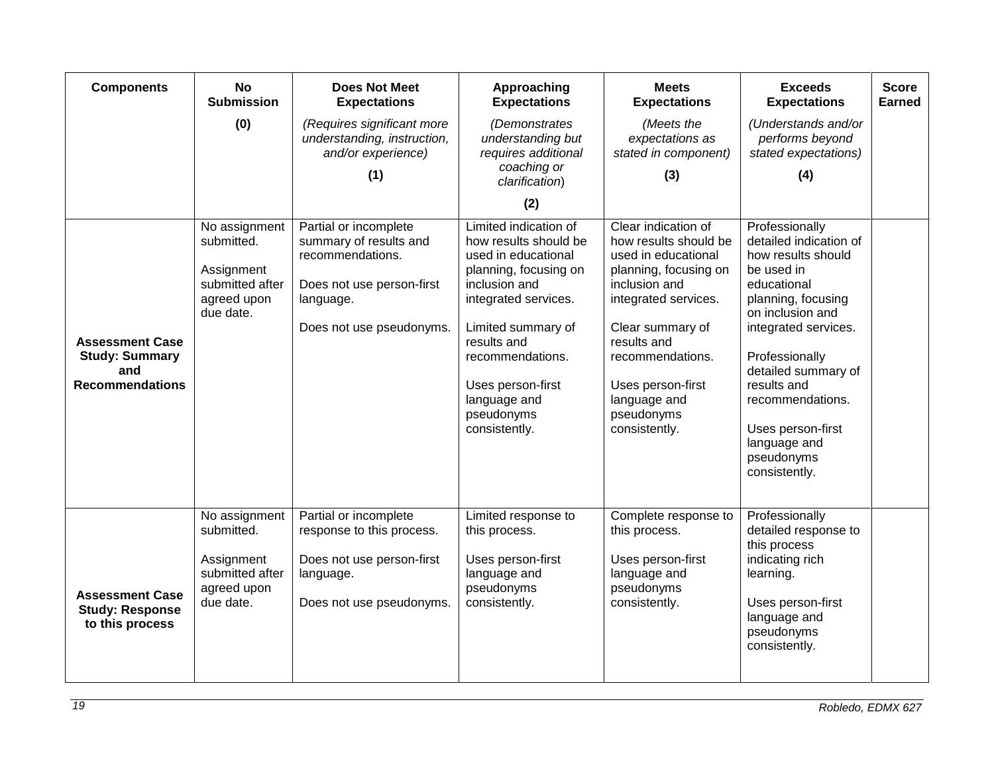| <b>Components</b>                                                                | <b>No</b><br><b>Submission</b>                                                           | <b>Does Not Meet</b><br><b>Expectations</b>                                                                                               | Approaching<br><b>Expectations</b>                                                                                                                                                                                                                                   | <b>Meets</b><br><b>Expectations</b>                                                                                                                                                                                                                              | <b>Exceeds</b><br><b>Expectations</b>                                                                                                                                                                                                                                                                         | <b>Score</b><br><b>Earned</b> |
|----------------------------------------------------------------------------------|------------------------------------------------------------------------------------------|-------------------------------------------------------------------------------------------------------------------------------------------|----------------------------------------------------------------------------------------------------------------------------------------------------------------------------------------------------------------------------------------------------------------------|------------------------------------------------------------------------------------------------------------------------------------------------------------------------------------------------------------------------------------------------------------------|---------------------------------------------------------------------------------------------------------------------------------------------------------------------------------------------------------------------------------------------------------------------------------------------------------------|-------------------------------|
|                                                                                  | (0)                                                                                      | (Requires significant more<br>understanding, instruction,<br>and/or experience)                                                           | (Demonstrates<br>understanding but<br>requires additional<br>coaching or                                                                                                                                                                                             | (Meets the<br>expectations as<br>stated in component)                                                                                                                                                                                                            | (Understands and/or<br>performs beyond<br>stated expectations)                                                                                                                                                                                                                                                |                               |
|                                                                                  |                                                                                          | (1)                                                                                                                                       | clarification)                                                                                                                                                                                                                                                       | (3)                                                                                                                                                                                                                                                              | (4)                                                                                                                                                                                                                                                                                                           |                               |
|                                                                                  |                                                                                          |                                                                                                                                           | (2)                                                                                                                                                                                                                                                                  |                                                                                                                                                                                                                                                                  |                                                                                                                                                                                                                                                                                                               |                               |
| <b>Assessment Case</b><br><b>Study: Summary</b><br>and<br><b>Recommendations</b> | No assignment<br>submitted.<br>Assignment<br>submitted after<br>agreed upon<br>due date. | Partial or incomplete<br>summary of results and<br>recommendations.<br>Does not use person-first<br>language.<br>Does not use pseudonyms. | Limited indication of<br>how results should be<br>used in educational<br>planning, focusing on<br>inclusion and<br>integrated services.<br>Limited summary of<br>results and<br>recommendations.<br>Uses person-first<br>language and<br>pseudonyms<br>consistently. | Clear indication of<br>how results should be<br>used in educational<br>planning, focusing on<br>inclusion and<br>integrated services.<br>Clear summary of<br>results and<br>recommendations.<br>Uses person-first<br>language and<br>pseudonyms<br>consistently. | Professionally<br>detailed indication of<br>how results should<br>be used in<br>educational<br>planning, focusing<br>on inclusion and<br>integrated services.<br>Professionally<br>detailed summary of<br>results and<br>recommendations.<br>Uses person-first<br>language and<br>pseudonyms<br>consistently. |                               |
| <b>Assessment Case</b><br><b>Study: Response</b><br>to this process              | No assignment<br>submitted.<br>Assignment<br>submitted after<br>agreed upon<br>due date. | Partial or incomplete<br>response to this process.<br>Does not use person-first<br>language.<br>Does not use pseudonyms.                  | Limited response to<br>this process.<br>Uses person-first<br>language and<br>pseudonyms<br>consistently.                                                                                                                                                             | Complete response to<br>this process.<br>Uses person-first<br>language and<br>pseudonyms<br>consistently.                                                                                                                                                        | Professionally<br>detailed response to<br>this process<br>indicating rich<br>learning.<br>Uses person-first<br>language and<br>pseudonyms<br>consistently.                                                                                                                                                    |                               |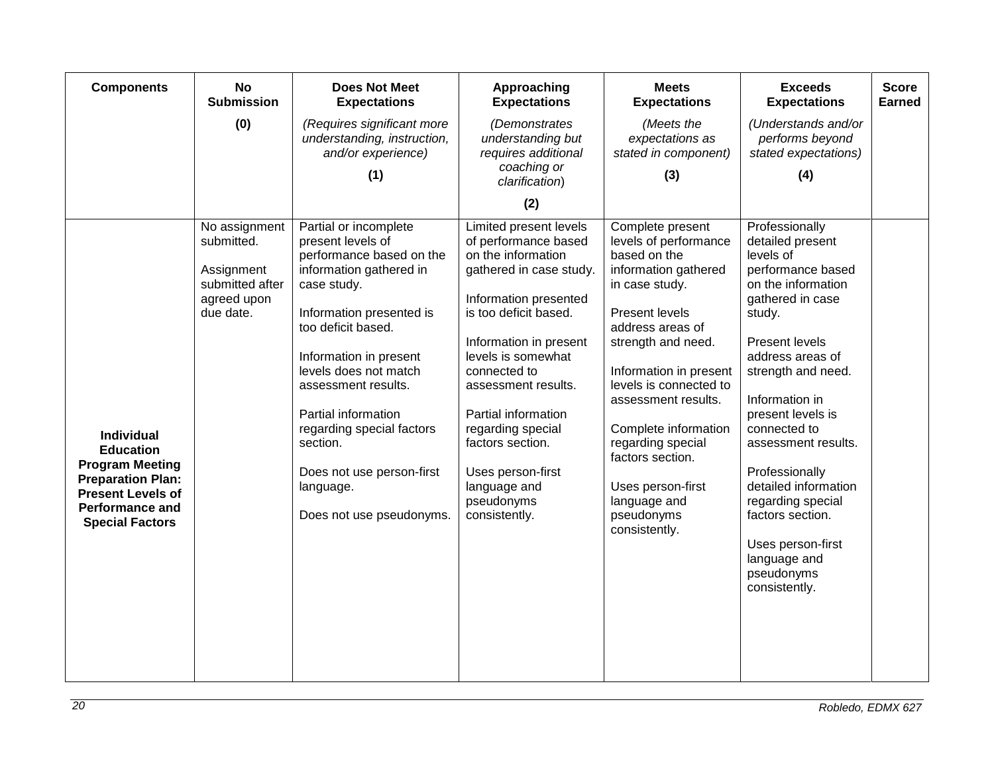| <b>Components</b>                                                                                                                                                           | <b>No</b><br><b>Submission</b>                                                           | <b>Does Not Meet</b><br><b>Expectations</b>                                                                                                                                                                                                                                                                                                                                        | Approaching<br><b>Expectations</b>                                                                                                                                                                                                                                                                                                                                           | <b>Meets</b><br><b>Expectations</b>                                                                                                                                                                                                                                                                                                                                                    | <b>Exceeds</b><br><b>Expectations</b>                                                                                                                                                                                                                                                                                                                                                                                     | <b>Score</b><br><b>Earned</b> |
|-----------------------------------------------------------------------------------------------------------------------------------------------------------------------------|------------------------------------------------------------------------------------------|------------------------------------------------------------------------------------------------------------------------------------------------------------------------------------------------------------------------------------------------------------------------------------------------------------------------------------------------------------------------------------|------------------------------------------------------------------------------------------------------------------------------------------------------------------------------------------------------------------------------------------------------------------------------------------------------------------------------------------------------------------------------|----------------------------------------------------------------------------------------------------------------------------------------------------------------------------------------------------------------------------------------------------------------------------------------------------------------------------------------------------------------------------------------|---------------------------------------------------------------------------------------------------------------------------------------------------------------------------------------------------------------------------------------------------------------------------------------------------------------------------------------------------------------------------------------------------------------------------|-------------------------------|
|                                                                                                                                                                             | (0)                                                                                      | (Requires significant more<br>understanding, instruction,<br>and/or experience)                                                                                                                                                                                                                                                                                                    | (Demonstrates<br>understanding but<br>requires additional                                                                                                                                                                                                                                                                                                                    | (Meets the<br>expectations as<br>stated in component)                                                                                                                                                                                                                                                                                                                                  | (Understands and/or<br>performs beyond<br>stated expectations)                                                                                                                                                                                                                                                                                                                                                            |                               |
|                                                                                                                                                                             |                                                                                          | (1)                                                                                                                                                                                                                                                                                                                                                                                | coaching or<br>clarification)                                                                                                                                                                                                                                                                                                                                                | (3)                                                                                                                                                                                                                                                                                                                                                                                    | (4)                                                                                                                                                                                                                                                                                                                                                                                                                       |                               |
|                                                                                                                                                                             |                                                                                          |                                                                                                                                                                                                                                                                                                                                                                                    | (2)                                                                                                                                                                                                                                                                                                                                                                          |                                                                                                                                                                                                                                                                                                                                                                                        |                                                                                                                                                                                                                                                                                                                                                                                                                           |                               |
| <b>Individual</b><br><b>Education</b><br><b>Program Meeting</b><br><b>Preparation Plan:</b><br><b>Present Levels of</b><br><b>Performance and</b><br><b>Special Factors</b> | No assignment<br>submitted.<br>Assignment<br>submitted after<br>agreed upon<br>due date. | Partial or incomplete<br>present levels of<br>performance based on the<br>information gathered in<br>case study.<br>Information presented is<br>too deficit based.<br>Information in present<br>levels does not match<br>assessment results.<br>Partial information<br>regarding special factors<br>section.<br>Does not use person-first<br>language.<br>Does not use pseudonyms. | Limited present levels<br>of performance based<br>on the information<br>gathered in case study.<br>Information presented<br>is too deficit based.<br>Information in present<br>levels is somewhat<br>connected to<br>assessment results.<br>Partial information<br>regarding special<br>factors section.<br>Uses person-first<br>language and<br>pseudonyms<br>consistently. | Complete present<br>levels of performance<br>based on the<br>information gathered<br>in case study.<br><b>Present levels</b><br>address areas of<br>strength and need.<br>Information in present<br>levels is connected to<br>assessment results.<br>Complete information<br>regarding special<br>factors section.<br>Uses person-first<br>language and<br>pseudonyms<br>consistently. | Professionally<br>detailed present<br>levels of<br>performance based<br>on the information<br>gathered in case<br>study.<br>Present levels<br>address areas of<br>strength and need.<br>Information in<br>present levels is<br>connected to<br>assessment results.<br>Professionally<br>detailed information<br>regarding special<br>factors section.<br>Uses person-first<br>language and<br>pseudonyms<br>consistently. |                               |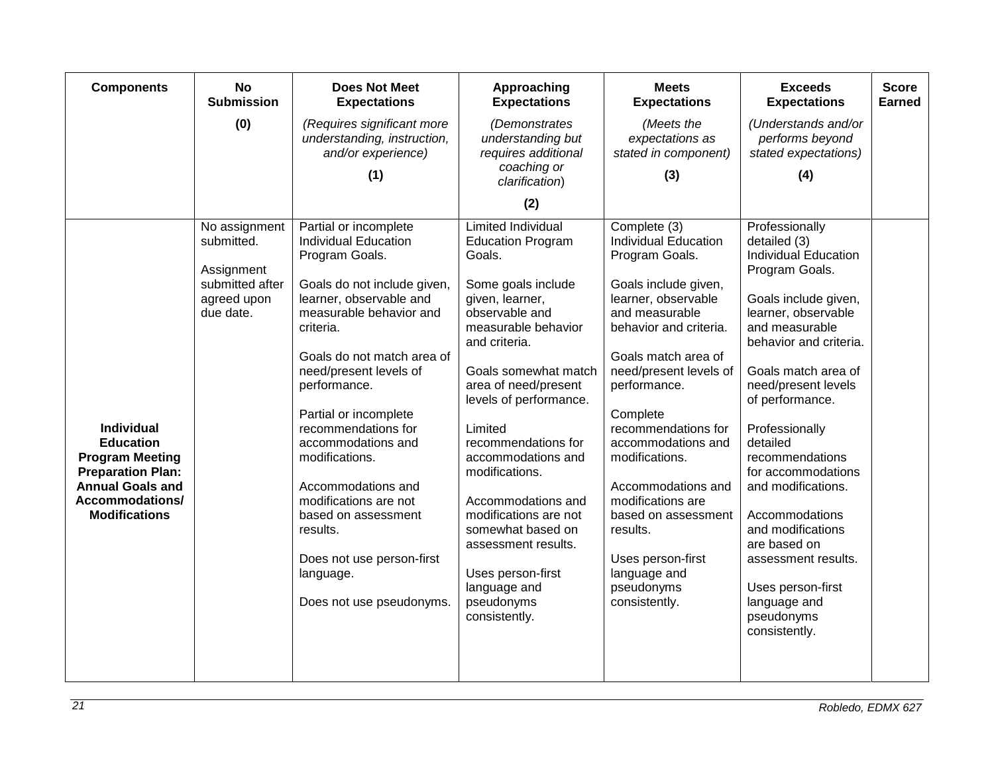| <b>Components</b>                                                                                                                                                 | <b>No</b><br><b>Submission</b>                                                           | <b>Does Not Meet</b><br><b>Expectations</b>                                                                                                                                                                                                                                                                                                                                                                                                                                                      | Approaching<br><b>Expectations</b>                                                                                                                                                                                                                                                                                                                                                                                                                                                    | <b>Meets</b><br><b>Expectations</b>                                                                                                                                                                                                                                                                                                                                                                                                                    | <b>Exceeds</b><br><b>Expectations</b>                                                                                                                                                                                                                                                                                                                                                                                                                                     | <b>Score</b><br><b>Earned</b> |
|-------------------------------------------------------------------------------------------------------------------------------------------------------------------|------------------------------------------------------------------------------------------|--------------------------------------------------------------------------------------------------------------------------------------------------------------------------------------------------------------------------------------------------------------------------------------------------------------------------------------------------------------------------------------------------------------------------------------------------------------------------------------------------|---------------------------------------------------------------------------------------------------------------------------------------------------------------------------------------------------------------------------------------------------------------------------------------------------------------------------------------------------------------------------------------------------------------------------------------------------------------------------------------|--------------------------------------------------------------------------------------------------------------------------------------------------------------------------------------------------------------------------------------------------------------------------------------------------------------------------------------------------------------------------------------------------------------------------------------------------------|---------------------------------------------------------------------------------------------------------------------------------------------------------------------------------------------------------------------------------------------------------------------------------------------------------------------------------------------------------------------------------------------------------------------------------------------------------------------------|-------------------------------|
|                                                                                                                                                                   | (0)                                                                                      | (Requires significant more<br>understanding, instruction,<br>and/or experience)                                                                                                                                                                                                                                                                                                                                                                                                                  | (Demonstrates<br>understanding but<br>requires additional<br>coaching or                                                                                                                                                                                                                                                                                                                                                                                                              | (Meets the<br>expectations as<br>stated in component)                                                                                                                                                                                                                                                                                                                                                                                                  | (Understands and/or<br>performs beyond<br>stated expectations)                                                                                                                                                                                                                                                                                                                                                                                                            |                               |
|                                                                                                                                                                   |                                                                                          | (1)                                                                                                                                                                                                                                                                                                                                                                                                                                                                                              | clarification)                                                                                                                                                                                                                                                                                                                                                                                                                                                                        | (3)                                                                                                                                                                                                                                                                                                                                                                                                                                                    | (4)                                                                                                                                                                                                                                                                                                                                                                                                                                                                       |                               |
|                                                                                                                                                                   |                                                                                          |                                                                                                                                                                                                                                                                                                                                                                                                                                                                                                  | (2)                                                                                                                                                                                                                                                                                                                                                                                                                                                                                   |                                                                                                                                                                                                                                                                                                                                                                                                                                                        |                                                                                                                                                                                                                                                                                                                                                                                                                                                                           |                               |
| <b>Individual</b><br><b>Education</b><br><b>Program Meeting</b><br><b>Preparation Plan:</b><br><b>Annual Goals and</b><br>Accommodations/<br><b>Modifications</b> | No assignment<br>submitted.<br>Assignment<br>submitted after<br>agreed upon<br>due date. | Partial or incomplete<br><b>Individual Education</b><br>Program Goals.<br>Goals do not include given,<br>learner, observable and<br>measurable behavior and<br>criteria.<br>Goals do not match area of<br>need/present levels of<br>performance.<br>Partial or incomplete<br>recommendations for<br>accommodations and<br>modifications.<br>Accommodations and<br>modifications are not<br>based on assessment<br>results.<br>Does not use person-first<br>language.<br>Does not use pseudonyms. | <b>Limited Individual</b><br><b>Education Program</b><br>Goals.<br>Some goals include<br>given, learner,<br>observable and<br>measurable behavior<br>and criteria.<br>Goals somewhat match<br>area of need/present<br>levels of performance.<br>Limited<br>recommendations for<br>accommodations and<br>modifications.<br>Accommodations and<br>modifications are not<br>somewhat based on<br>assessment results.<br>Uses person-first<br>language and<br>pseudonyms<br>consistently. | Complete (3)<br><b>Individual Education</b><br>Program Goals.<br>Goals include given,<br>learner, observable<br>and measurable<br>behavior and criteria.<br>Goals match area of<br>need/present levels of<br>performance.<br>Complete<br>recommendations for<br>accommodations and<br>modifications.<br>Accommodations and<br>modifications are<br>based on assessment<br>results.<br>Uses person-first<br>language and<br>pseudonyms<br>consistently. | Professionally<br>detailed (3)<br><b>Individual Education</b><br>Program Goals.<br>Goals include given,<br>learner, observable<br>and measurable<br>behavior and criteria.<br>Goals match area of<br>need/present levels<br>of performance.<br>Professionally<br>detailed<br>recommendations<br>for accommodations<br>and modifications.<br>Accommodations<br>and modifications<br>are based on<br>assessment results.<br>Uses person-first<br>language and<br>pseudonyms |                               |
|                                                                                                                                                                   |                                                                                          |                                                                                                                                                                                                                                                                                                                                                                                                                                                                                                  |                                                                                                                                                                                                                                                                                                                                                                                                                                                                                       |                                                                                                                                                                                                                                                                                                                                                                                                                                                        | consistently.                                                                                                                                                                                                                                                                                                                                                                                                                                                             |                               |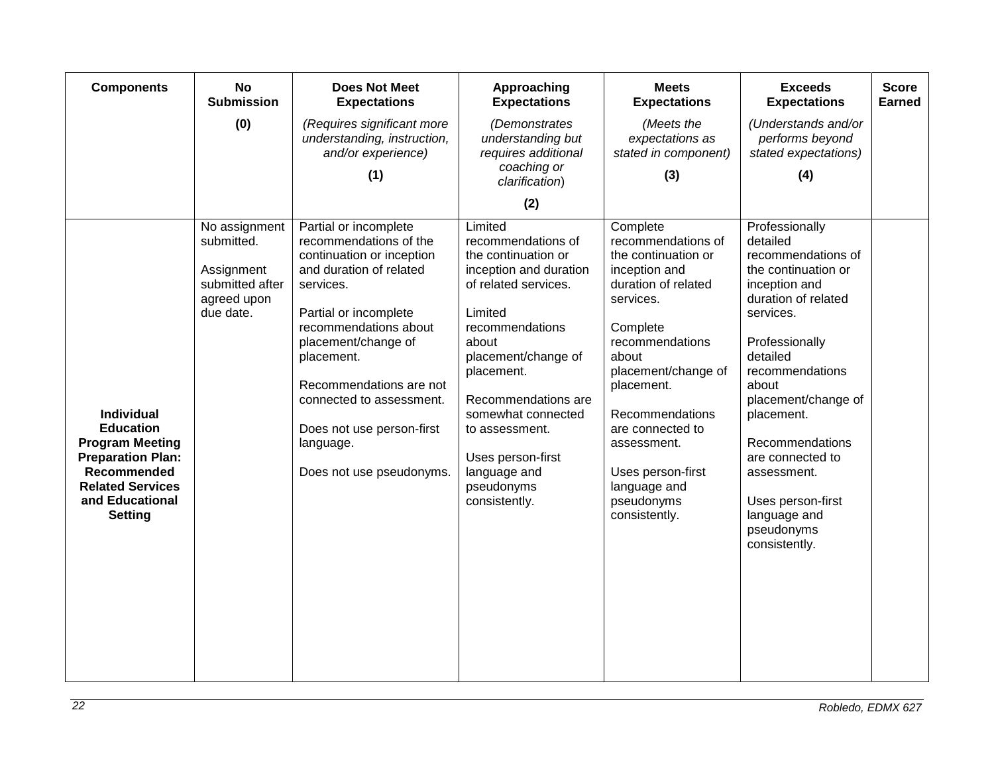| <b>Components</b>                                                                                                                                                          | <b>No</b><br><b>Submission</b>                                                           | <b>Does Not Meet</b><br><b>Expectations</b>                                                                                                                                                                                                                                                                                              | Approaching<br><b>Expectations</b>                                                                                                                                                                                                                                                                                    | <b>Meets</b><br><b>Expectations</b>                                                                                                                                                                                                                                                                               | <b>Exceeds</b><br><b>Expectations</b>                                                                                                                                                                                                                                                                                                                 | <b>Score</b><br><b>Earned</b> |
|----------------------------------------------------------------------------------------------------------------------------------------------------------------------------|------------------------------------------------------------------------------------------|------------------------------------------------------------------------------------------------------------------------------------------------------------------------------------------------------------------------------------------------------------------------------------------------------------------------------------------|-----------------------------------------------------------------------------------------------------------------------------------------------------------------------------------------------------------------------------------------------------------------------------------------------------------------------|-------------------------------------------------------------------------------------------------------------------------------------------------------------------------------------------------------------------------------------------------------------------------------------------------------------------|-------------------------------------------------------------------------------------------------------------------------------------------------------------------------------------------------------------------------------------------------------------------------------------------------------------------------------------------------------|-------------------------------|
|                                                                                                                                                                            | (0)                                                                                      | (Requires significant more<br>understanding, instruction,<br>and/or experience)                                                                                                                                                                                                                                                          | (Demonstrates<br>understanding but<br>requires additional<br>coaching or                                                                                                                                                                                                                                              | (Meets the<br>expectations as<br>stated in component)                                                                                                                                                                                                                                                             | (Understands and/or<br>performs beyond<br>stated expectations)                                                                                                                                                                                                                                                                                        |                               |
|                                                                                                                                                                            |                                                                                          | (1)                                                                                                                                                                                                                                                                                                                                      | clarification)                                                                                                                                                                                                                                                                                                        | (3)                                                                                                                                                                                                                                                                                                               | (4)                                                                                                                                                                                                                                                                                                                                                   |                               |
|                                                                                                                                                                            |                                                                                          |                                                                                                                                                                                                                                                                                                                                          | (2)                                                                                                                                                                                                                                                                                                                   |                                                                                                                                                                                                                                                                                                                   |                                                                                                                                                                                                                                                                                                                                                       |                               |
| <b>Individual</b><br><b>Education</b><br><b>Program Meeting</b><br><b>Preparation Plan:</b><br>Recommended<br><b>Related Services</b><br>and Educational<br><b>Setting</b> | No assignment<br>submitted.<br>Assignment<br>submitted after<br>agreed upon<br>due date. | Partial or incomplete<br>recommendations of the<br>continuation or inception<br>and duration of related<br>services.<br>Partial or incomplete<br>recommendations about<br>placement/change of<br>placement.<br>Recommendations are not<br>connected to assessment.<br>Does not use person-first<br>language.<br>Does not use pseudonyms. | Limited<br>recommendations of<br>the continuation or<br>inception and duration<br>of related services.<br>Limited<br>recommendations<br>about<br>placement/change of<br>placement.<br>Recommendations are<br>somewhat connected<br>to assessment.<br>Uses person-first<br>language and<br>pseudonyms<br>consistently. | Complete<br>recommendations of<br>the continuation or<br>inception and<br>duration of related<br>services.<br>Complete<br>recommendations<br>about<br>placement/change of<br>placement.<br>Recommendations<br>are connected to<br>assessment.<br>Uses person-first<br>language and<br>pseudonyms<br>consistently. | Professionally<br>detailed<br>recommendations of<br>the continuation or<br>inception and<br>duration of related<br>services.<br>Professionally<br>detailed<br>recommendations<br>about<br>placement/change of<br>placement.<br>Recommendations<br>are connected to<br>assessment.<br>Uses person-first<br>language and<br>pseudonyms<br>consistently. |                               |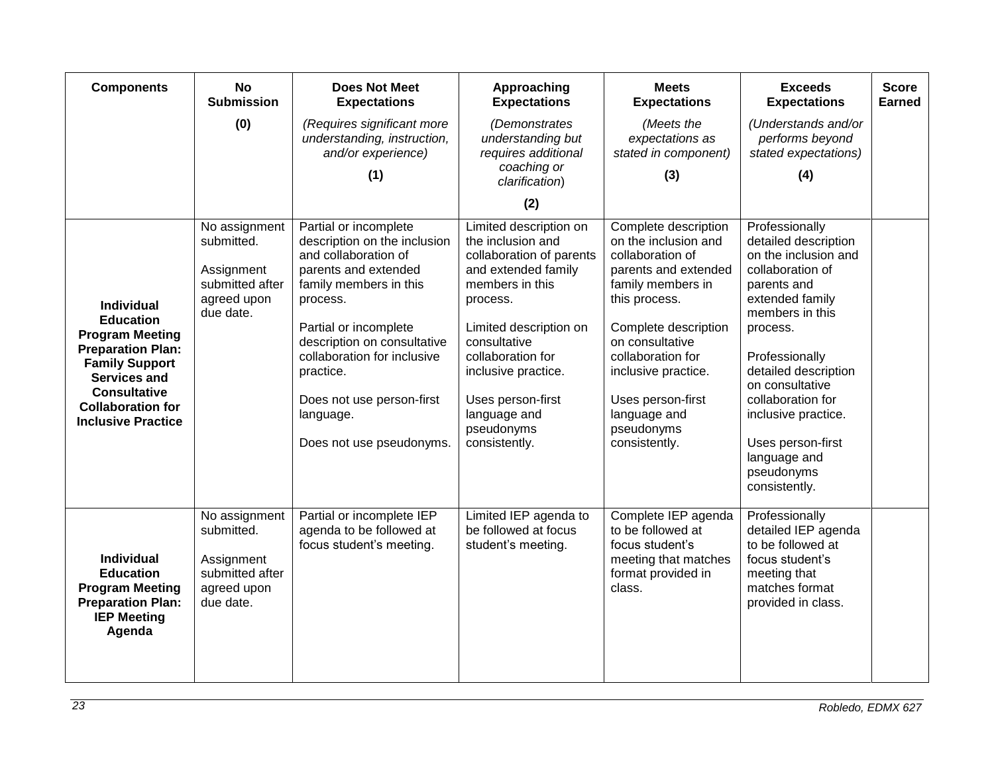| <b>Components</b>                                                                                                                                                                                                           | <b>No</b><br><b>Submission</b>                                                           | <b>Does Not Meet</b><br><b>Expectations</b>                                                                                                                                                                                                                                                                           | Approaching<br><b>Expectations</b>                                                                                                                                                                                                                                                      | <b>Meets</b><br><b>Expectations</b>                                                                                                                                                                                                                                                       | <b>Exceeds</b><br><b>Expectations</b>                                                                                                                                                                                                                                                                           | <b>Score</b><br><b>Earned</b> |
|-----------------------------------------------------------------------------------------------------------------------------------------------------------------------------------------------------------------------------|------------------------------------------------------------------------------------------|-----------------------------------------------------------------------------------------------------------------------------------------------------------------------------------------------------------------------------------------------------------------------------------------------------------------------|-----------------------------------------------------------------------------------------------------------------------------------------------------------------------------------------------------------------------------------------------------------------------------------------|-------------------------------------------------------------------------------------------------------------------------------------------------------------------------------------------------------------------------------------------------------------------------------------------|-----------------------------------------------------------------------------------------------------------------------------------------------------------------------------------------------------------------------------------------------------------------------------------------------------------------|-------------------------------|
|                                                                                                                                                                                                                             | (0)                                                                                      | (Requires significant more<br>understanding, instruction,<br>and/or experience)                                                                                                                                                                                                                                       | (Demonstrates<br>understanding but<br>requires additional                                                                                                                                                                                                                               | (Meets the<br>expectations as<br>stated in component)                                                                                                                                                                                                                                     | (Understands and/or<br>performs beyond<br>stated expectations)                                                                                                                                                                                                                                                  |                               |
|                                                                                                                                                                                                                             |                                                                                          | (1)                                                                                                                                                                                                                                                                                                                   | coaching or<br>clarification)                                                                                                                                                                                                                                                           | (3)                                                                                                                                                                                                                                                                                       | (4)                                                                                                                                                                                                                                                                                                             |                               |
|                                                                                                                                                                                                                             |                                                                                          |                                                                                                                                                                                                                                                                                                                       | (2)                                                                                                                                                                                                                                                                                     |                                                                                                                                                                                                                                                                                           |                                                                                                                                                                                                                                                                                                                 |                               |
| <b>Individual</b><br><b>Education</b><br><b>Program Meeting</b><br><b>Preparation Plan:</b><br><b>Family Support</b><br><b>Services and</b><br><b>Consultative</b><br><b>Collaboration for</b><br><b>Inclusive Practice</b> | No assignment<br>submitted.<br>Assignment<br>submitted after<br>agreed upon<br>due date. | Partial or incomplete<br>description on the inclusion<br>and collaboration of<br>parents and extended<br>family members in this<br>process.<br>Partial or incomplete<br>description on consultative<br>collaboration for inclusive<br>practice.<br>Does not use person-first<br>language.<br>Does not use pseudonyms. | Limited description on<br>the inclusion and<br>collaboration of parents<br>and extended family<br>members in this<br>process.<br>Limited description on<br>consultative<br>collaboration for<br>inclusive practice.<br>Uses person-first<br>language and<br>pseudonyms<br>consistently. | Complete description<br>on the inclusion and<br>collaboration of<br>parents and extended<br>family members in<br>this process.<br>Complete description<br>on consultative<br>collaboration for<br>inclusive practice.<br>Uses person-first<br>language and<br>pseudonyms<br>consistently. | Professionally<br>detailed description<br>on the inclusion and<br>collaboration of<br>parents and<br>extended family<br>members in this<br>process.<br>Professionally<br>detailed description<br>on consultative<br>collaboration for<br>inclusive practice.<br>Uses person-first<br>language and<br>pseudonyms |                               |
|                                                                                                                                                                                                                             |                                                                                          |                                                                                                                                                                                                                                                                                                                       |                                                                                                                                                                                                                                                                                         |                                                                                                                                                                                                                                                                                           | consistently.                                                                                                                                                                                                                                                                                                   |                               |
| <b>Individual</b><br><b>Education</b><br><b>Program Meeting</b><br><b>Preparation Plan:</b><br><b>IEP Meeting</b><br>Agenda                                                                                                 | No assignment<br>submitted.<br>Assignment<br>submitted after<br>agreed upon<br>due date. | Partial or incomplete IEP<br>agenda to be followed at<br>focus student's meeting.                                                                                                                                                                                                                                     | Limited IEP agenda to<br>be followed at focus<br>student's meeting.                                                                                                                                                                                                                     | Complete IEP agenda<br>to be followed at<br>focus student's<br>meeting that matches<br>format provided in<br>class.                                                                                                                                                                       | Professionally<br>detailed IEP agenda<br>to be followed at<br>focus student's<br>meeting that<br>matches format<br>provided in class.                                                                                                                                                                           |                               |